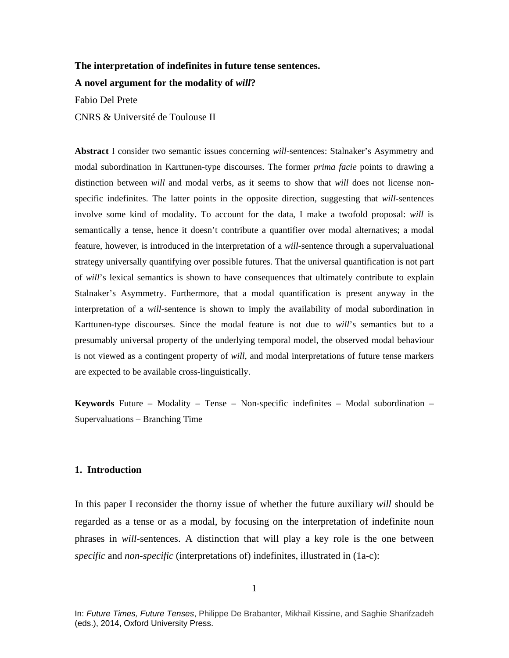#### **The interpretation of indefinites in future tense sentences.**

**A novel argument for the modality of** *will***?**

Fabio Del Prete

CNRS & Université de Toulouse II

**Abstract** I consider two semantic issues concerning *will*-sentences: Stalnaker's Asymmetry and modal subordination in Karttunen-type discourses. The former *prima facie* points to drawing a distinction between *will* and modal verbs, as it seems to show that *will* does not license nonspecific indefinites. The latter points in the opposite direction, suggesting that *will*-sentences involve some kind of modality. To account for the data, I make a twofold proposal: *will* is semantically a tense, hence it doesn't contribute a quantifier over modal alternatives; a modal feature, however, is introduced in the interpretation of a *will*-sentence through a supervaluational strategy universally quantifying over possible futures. That the universal quantification is not part of *will*'s lexical semantics is shown to have consequences that ultimately contribute to explain Stalnaker's Asymmetry. Furthermore, that a modal quantification is present anyway in the interpretation of a *will*-sentence is shown to imply the availability of modal subordination in Karttunen-type discourses. Since the modal feature is not due to *will*'s semantics but to a presumably universal property of the underlying temporal model, the observed modal behaviour is not viewed as a contingent property of *will*, and modal interpretations of future tense markers are expected to be available cross-linguistically.

**Keywords** Future – Modality – Tense – Non-specific indefinites – Modal subordination – Supervaluations – Branching Time

# **1. Introduction**

In this paper I reconsider the thorny issue of whether the future auxiliary *will* should be regarded as a tense or as a modal, by focusing on the interpretation of indefinite noun phrases in *will*-sentences. A distinction that will play a key role is the one between *specific* and *non-specific* (interpretations of) indefinites, illustrated in (1a-c):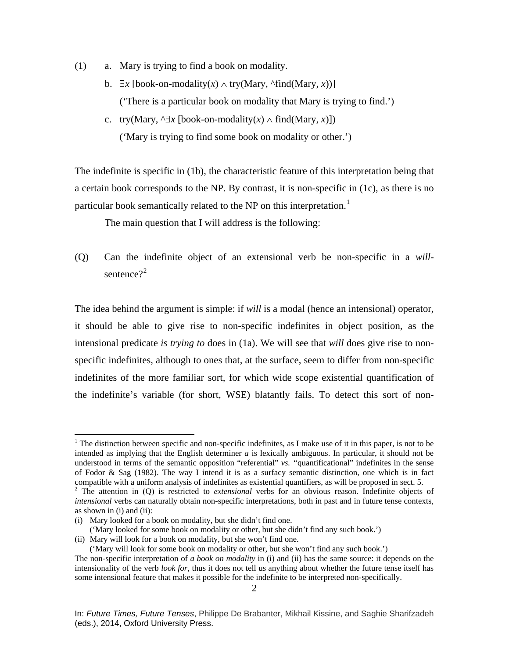- (1) a. Mary is trying to find a book on modality.
	- b. ∃*x* [book-on-modality(*x*) ∧ try(Mary, ^find(Mary, *x*))] ('There is a particular book on modality that Mary is trying to find.')
	- c. try(Mary,  $\exists x$  [book-on-modality(*x*)  $\land$  find(Mary, *x*)]) ('Mary is trying to find some book on modality or other.')

The indefinite is specific in (1b), the characteristic feature of this interpretation being that a certain book corresponds to the NP. By contrast, it is non-specific in (1c), as there is no particular book semantically related to the NP on this interpretation.<sup>[1](#page-1-0)</sup>

The main question that I will address is the following:

(Q) Can the indefinite object of an extensional verb be non-specific in a *will*sentence? $2^2$  $2^2$ 

The idea behind the argument is simple: if *will* is a modal (hence an intensional) operator, it should be able to give rise to non-specific indefinites in object position, as the intensional predicate *is trying to* does in (1a). We will see that *will* does give rise to nonspecific indefinites, although to ones that, at the surface, seem to differ from non-specific indefinites of the more familiar sort, for which wide scope existential quantification of the indefinite's variable (for short, WSE) blatantly fails. To detect this sort of non-

<span id="page-1-0"></span><sup>&</sup>lt;sup>1</sup> The distinction between specific and non-specific indefinites, as I make use of it in this paper, is not to be intended as implying that the English determiner *a* is lexically ambiguous. In particular, it should not be understood in terms of the semantic opposition "referential" *vs. "*quantificational" indefinites in the sense of Fodor & Sag (1982). The way I intend it is as a surfacy semantic distinction, one which is in fact compatible with a uniform analysis of indefinites as existential quantifiers, as will be proposed in sect. 5.

<span id="page-1-1"></span><sup>2</sup> The attention in (Q) is restricted to *extensional* verbs for an obvious reason. Indefinite objects of *intensional* verbs can naturally obtain non-specific interpretations, both in past and in future tense contexts, as shown in  $(i)$  and  $(ii)$ :

<sup>(</sup>i) Mary looked for a book on modality, but she didn't find one.

<sup>(&#</sup>x27;Mary looked for some book on modality or other, but she didn't find any such book.')

<sup>(</sup>ii) Mary will look for a book on modality, but she won't find one.

<sup>(&#</sup>x27;Mary will look for some book on modality or other, but she won't find any such book.') The non-specific interpretation of *a book on modality* in (i) and (ii) has the same source: it depends on the

intensionality of the verb *look for*, thus it does not tell us anything about whether the future tense itself has some intensional feature that makes it possible for the indefinite to be interpreted non-specifically.

In: *Future Times, Future Tenses*, Philippe De Brabanter, Mikhail Kissine, and Saghie Sharifzadeh (eds.), 2014, Oxford University Press.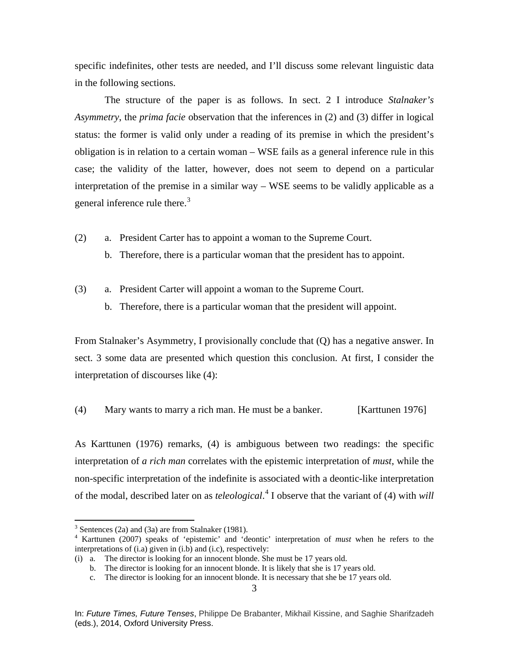specific indefinites, other tests are needed, and I'll discuss some relevant linguistic data in the following sections.

The structure of the paper is as follows. In sect. 2 I introduce *Stalnaker's Asymmetry*, the *prima facie* observation that the inferences in (2) and (3) differ in logical status: the former is valid only under a reading of its premise in which the president's obligation is in relation to a certain woman – WSE fails as a general inference rule in this case; the validity of the latter, however, does not seem to depend on a particular interpretation of the premise in a similar way – WSE seems to be validly applicable as a general inference rule there.<sup>[3](#page-2-0)</sup>

- (2) a. President Carter has to appoint a woman to the Supreme Court.
	- b. Therefore, there is a particular woman that the president has to appoint.
- (3) a. President Carter will appoint a woman to the Supreme Court.
	- b. Therefore, there is a particular woman that the president will appoint.

From Stalnaker's Asymmetry, I provisionally conclude that (Q) has a negative answer. In sect. 3 some data are presented which question this conclusion. At first, I consider the interpretation of discourses like (4):

(4) Mary wants to marry a rich man. He must be a banker. [Karttunen 1976]

As Karttunen (1976) remarks, (4) is ambiguous between two readings: the specific interpretation of *a rich man* correlates with the epistemic interpretation of *must*, while the non-specific interpretation of the indefinite is associated with a deontic-like interpretation of the modal, described later on as *teleological*. [4](#page-2-1) I observe that the variant of (4) with *will* 

<span id="page-2-0"></span> $3$  Sentences (2a) and (3a) are from Stalnaker (1981).

<span id="page-2-1"></span><sup>4</sup> Karttunen (2007) speaks of 'epistemic' and 'deontic' interpretation of *must* when he refers to the interpretations of (i.a) given in (i.b) and (i.c), respectively:

<sup>(</sup>i) a. The director is looking for an innocent blonde. She must be 17 years old.

b. The director is looking for an innocent blonde. It is likely that she is 17 years old.

c. The director is looking for an innocent blonde. It is necessary that she be 17 years old.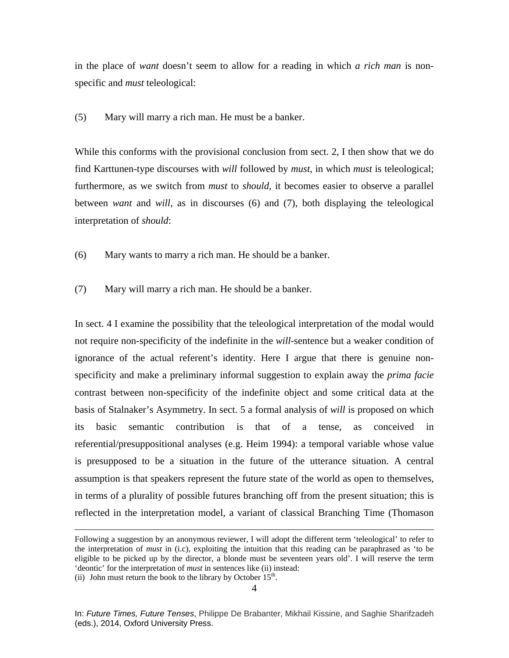in the place of *want* doesn't seem to allow for a reading in which *a rich man* is nonspecific and *must* teleological:

(5) Mary will marry a rich man. He must be a banker.

While this conforms with the provisional conclusion from sect. 2, I then show that we do find Karttunen-type discourses with *will* followed by *must*, in which *must* is teleological; furthermore, as we switch from *must* to *should*, it becomes easier to observe a parallel between *want* and *will*, as in discourses (6) and (7), both displaying the teleological interpretation of *should*:

- (6) Mary wants to marry a rich man. He should be a banker.
- (7) Mary will marry a rich man. He should be a banker.

In sect. 4 I examine the possibility that the teleological interpretation of the modal would not require non-specificity of the indefinite in the *will*-sentence but a weaker condition of ignorance of the actual referent's identity. Here I argue that there is genuine nonspecificity and make a preliminary informal suggestion to explain away the *prima facie*  contrast between non-specificity of the indefinite object and some critical data at the basis of Stalnaker's Asymmetry. In sect. 5 a formal analysis of *will* is proposed on which its basic semantic contribution is that of a tense, as conceived in referential/presuppositional analyses (e.g. Heim 1994): a temporal variable whose value is presupposed to be a situation in the future of the utterance situation. A central assumption is that speakers represent the future state of the world as open to themselves, in terms of a plurality of possible futures branching off from the present situation; this is reflected in the interpretation model, a variant of classical Branching Time (Thomason

Following a suggestion by an anonymous reviewer, I will adopt the different term 'teleological' to refer to the interpretation of *must* in (i.c), exploiting the intuition that this reading can be paraphrased as 'to be eligible to be picked up by the director, a blonde must be seventeen years old'. I will reserve the term 'deontic' for the interpretation of *must* in sentences like (ii) instead:

<sup>(</sup>ii) John must return the book to the library by October  $15<sup>th</sup>$ .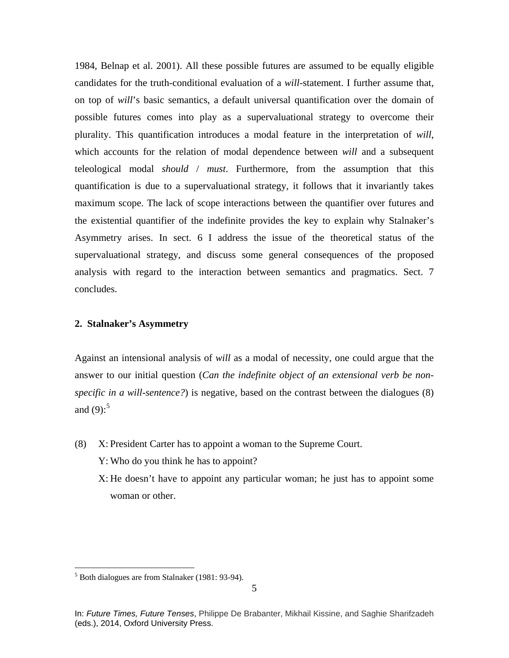1984, Belnap et al. 2001). All these possible futures are assumed to be equally eligible candidates for the truth-conditional evaluation of a *will-*statement. I further assume that, on top of *will*'s basic semantics, a default universal quantification over the domain of possible futures comes into play as a supervaluational strategy to overcome their plurality. This quantification introduces a modal feature in the interpretation of *will*, which accounts for the relation of modal dependence between *will* and a subsequent teleological modal *should* / *must*. Furthermore, from the assumption that this quantification is due to a supervaluational strategy, it follows that it invariantly takes maximum scope. The lack of scope interactions between the quantifier over futures and the existential quantifier of the indefinite provides the key to explain why Stalnaker's Asymmetry arises. In sect. 6 I address the issue of the theoretical status of the supervaluational strategy, and discuss some general consequences of the proposed analysis with regard to the interaction between semantics and pragmatics. Sect. 7 concludes.

# **2. Stalnaker's Asymmetry**

Against an intensional analysis of *will* as a modal of necessity, one could argue that the answer to our initial question (*Can the indefinite object of an extensional verb be nonspecific in a will-sentence?*) is negative, based on the contrast between the dialogues (8) and  $(9)$ :<sup>[5](#page-4-0)</sup>

- (8) X: President Carter has to appoint a woman to the Supreme Court.
	- Y: Who do you think he has to appoint?
	- X: He doesn't have to appoint any particular woman; he just has to appoint some woman or other.

<span id="page-4-0"></span> $<sup>5</sup>$  Both dialogues are from Stalnaker (1981: 93-94).</sup>

In: *Future Times, Future Tenses*, Philippe De Brabanter, Mikhail Kissine, and Saghie Sharifzadeh (eds.), 2014, Oxford University Press.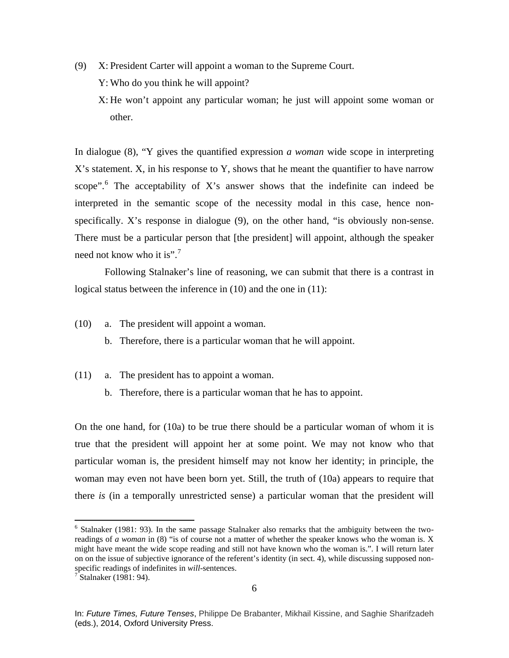- (9) X: President Carter will appoint a woman to the Supreme Court.
	- Y: Who do you think he will appoint?
	- X: He won't appoint any particular woman; he just will appoint some woman or other.

In dialogue (8), "Y gives the quantified expression *a woman* wide scope in interpreting X's statement. X, in his response to Y, shows that he meant the quantifier to have narrow scope". $6$  The acceptability of X's answer shows that the indefinite can indeed be interpreted in the semantic scope of the necessity modal in this case, hence nonspecifically. X's response in dialogue (9), on the other hand, "is obviously non-sense. There must be a particular person that [the president] will appoint, although the speaker need not know who it is".<sup>[7](#page-5-1)</sup>

Following Stalnaker's line of reasoning, we can submit that there is a contrast in logical status between the inference in (10) and the one in (11):

- (10) a. The president will appoint a woman.
	- b. Therefore, there is a particular woman that he will appoint.
- (11) a. The president has to appoint a woman.
	- b. Therefore, there is a particular woman that he has to appoint.

On the one hand, for (10a) to be true there should be a particular woman of whom it is true that the president will appoint her at some point. We may not know who that particular woman is, the president himself may not know her identity; in principle, the woman may even not have been born yet. Still, the truth of (10a) appears to require that there *is* (in a temporally unrestricted sense) a particular woman that the president will

<span id="page-5-0"></span> $6$  Stalnaker (1981: 93). In the same passage Stalnaker also remarks that the ambiguity between the tworeadings of *a woman* in (8) "is of course not a matter of whether the speaker knows who the woman is. X might have meant the wide scope reading and still not have known who the woman is.". I will return later on on the issue of subjective ignorance of the referent's identity (in sect. 4), while discussing supposed nonspecific readings of indefinites in *will*-sentences.<sup>7</sup> Stalnaker (1981: 94).

<span id="page-5-1"></span>

In: *Future Times, Future Tenses*, Philippe De Brabanter, Mikhail Kissine, and Saghie Sharifzadeh (eds.), 2014, Oxford University Press.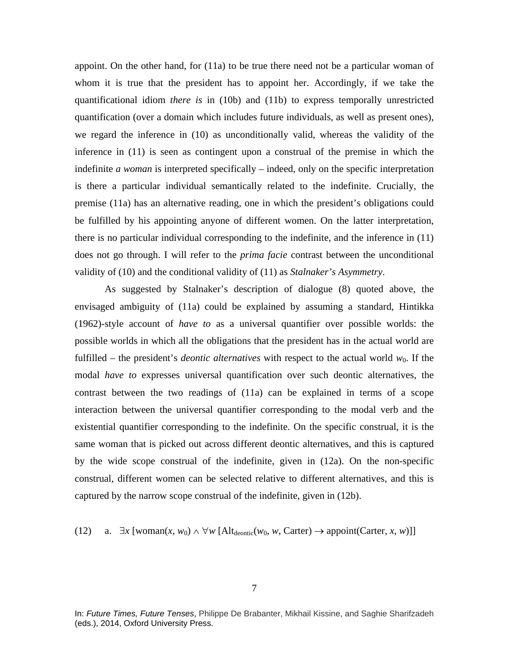appoint. On the other hand, for (11a) to be true there need not be a particular woman of whom it is true that the president has to appoint her. Accordingly, if we take the quantificational idiom *there is* in (10b) and (11b) to express temporally unrestricted quantification (over a domain which includes future individuals, as well as present ones), we regard the inference in (10) as unconditionally valid, whereas the validity of the inference in (11) is seen as contingent upon a construal of the premise in which the indefinite *a woman* is interpreted specifically – indeed, only on the specific interpretation is there a particular individual semantically related to the indefinite. Crucially, the premise (11a) has an alternative reading, one in which the president's obligations could be fulfilled by his appointing anyone of different women. On the latter interpretation, there is no particular individual corresponding to the indefinite, and the inference in (11) does not go through. I will refer to the *prima facie* contrast between the unconditional validity of (10) and the conditional validity of (11) as *Stalnaker's Asymmetry*.

As suggested by Stalnaker's description of dialogue (8) quoted above, the envisaged ambiguity of (11a) could be explained by assuming a standard, Hintikka (1962)-style account of *have to* as a universal quantifier over possible worlds: the possible worlds in which all the obligations that the president has in the actual world are fulfilled – the president's *deontic alternatives* with respect to the actual world  $w_0$ . If the modal *have to* expresses universal quantification over such deontic alternatives, the contrast between the two readings of (11a) can be explained in terms of a scope interaction between the universal quantifier corresponding to the modal verb and the existential quantifier corresponding to the indefinite. On the specific construal, it is the same woman that is picked out across different deontic alternatives, and this is captured by the wide scope construal of the indefinite, given in (12a). On the non-specific construal, different women can be selected relative to different alternatives, and this is captured by the narrow scope construal of the indefinite, given in (12b).

(12) a.  $\exists x$  [woman(*x*, *w*<sub>0</sub>)  $\land \forall w$  [Alt<sub>deontic</sub>(*w*<sub>0</sub>, *w*, Carter)  $\rightarrow$  appoint(Carter, *x*, *w*)]]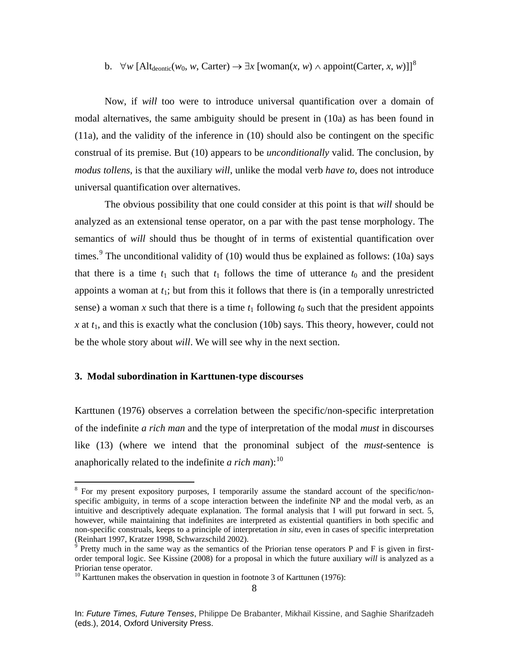b. ∀*w* [Alt<sub>deontic</sub>(*w*<sub>0</sub>, *w*, Carter) →  $\exists x$  [woman(*x*, *w*) ∧ appoint(Carter, *x*, *w*)]]<sup>[8](#page-7-0)</sup>

Now, if *will* too were to introduce universal quantification over a domain of modal alternatives, the same ambiguity should be present in (10a) as has been found in (11a), and the validity of the inference in (10) should also be contingent on the specific construal of its premise. But (10) appears to be *unconditionally* valid. The conclusion, by *modus tollens*, is that the auxiliary *will*, unlike the modal verb *have to*, does not introduce universal quantification over alternatives.

The obvious possibility that one could consider at this point is that *will* should be analyzed as an extensional tense operator, on a par with the past tense morphology. The semantics of *will* should thus be thought of in terms of existential quantification over times.<sup>[9](#page-7-1)</sup> The unconditional validity of (10) would thus be explained as follows: (10a) says that there is a time  $t_1$  such that  $t_1$  follows the time of utterance  $t_0$  and the president appoints a woman at  $t_1$ ; but from this it follows that there is (in a temporally unrestricted sense) a woman x such that there is a time  $t_1$  following  $t_0$  such that the president appoints  *at*  $t<sub>1</sub>$ *, and this is exactly what the conclusion (10b) says. This theory, however, could not* be the whole story about *will*. We will see why in the next section.

# **3. Modal subordination in Karttunen-type discourses**

Karttunen (1976) observes a correlation between the specific/non-specific interpretation of the indefinite *a rich man* and the type of interpretation of the modal *must* in discourses like (13) (where we intend that the pronominal subject of the *must*-sentence is anaphorically related to the indefinite  $a$  rich man):<sup>[10](#page-7-2)</sup>

<span id="page-7-0"></span><sup>&</sup>lt;sup>8</sup> For my present expository purposes, I temporarily assume the standard account of the specific/nonspecific ambiguity, in terms of a scope interaction between the indefinite NP and the modal verb, as an intuitive and descriptively adequate explanation. The formal analysis that I will put forward in sect. 5, however, while maintaining that indefinites are interpreted as existential quantifiers in both specific and non-specific construals, keeps to a principle of interpretation *in situ*, even in cases of specific interpretation (Reinhart 1997, Kratzer 1998, Schwarzschild 2002).

<span id="page-7-1"></span> $9$  Pretty much in the same way as the semantics of the Priorian tense operators P and F is given in firstorder temporal logic. See Kissine (2008) for a proposal in which the future auxiliary *will* is analyzed as a Priorian tense operator.

<span id="page-7-2"></span><sup>&</sup>lt;sup>10</sup> Karttunen makes the observation in question in footnote 3 of Karttunen (1976):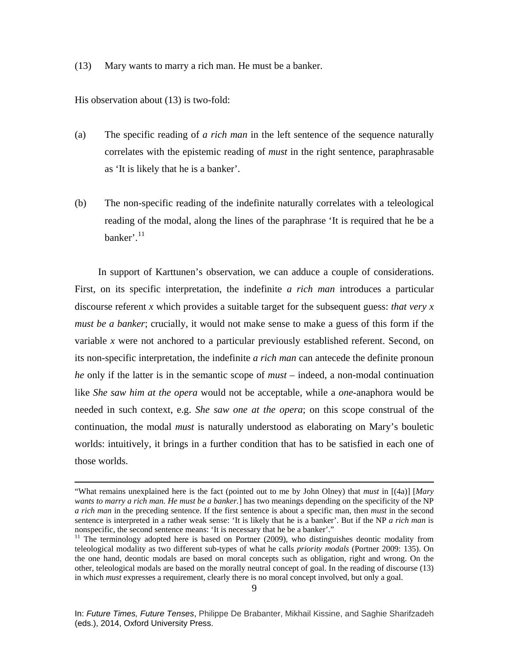(13) Mary wants to marry a rich man. He must be a banker.

His observation about (13) is two-fold:

- (a) The specific reading of *a rich man* in the left sentence of the sequence naturally correlates with the epistemic reading of *must* in the right sentence, paraphrasable as 'It is likely that he is a banker'.
- (b) The non-specific reading of the indefinite naturally correlates with a teleological reading of the modal, along the lines of the paraphrase 'It is required that he be a banker'. $^{11}$  $^{11}$  $^{11}$

In support of Karttunen's observation, we can adduce a couple of considerations. First, on its specific interpretation, the indefinite *a rich man* introduces a particular discourse referent *x* which provides a suitable target for the subsequent guess: *that very x must be a banker*; crucially, it would not make sense to make a guess of this form if the variable *x* were not anchored to a particular previously established referent. Second, on its non-specific interpretation, the indefinite *a rich man* can antecede the definite pronoun *he* only if the latter is in the semantic scope of *must* – indeed, a non-modal continuation like *She saw him at the opera* would not be acceptable, while a *one-*anaphora would be needed in such context, e.g. *She saw one at the opera*; on this scope construal of the continuation, the modal *must* is naturally understood as elaborating on Mary's bouletic worlds: intuitively, it brings in a further condition that has to be satisfied in each one of those worlds.

 <sup>&</sup>quot;What remains unexplained here is the fact (pointed out to me by John Olney) that *must* in [(4a)] [*Mary wants to marry a rich man. He must be a banker.*] has two meanings depending on the specificity of the NP *a rich man* in the preceding sentence. If the first sentence is about a specific man, then *must* in the second sentence is interpreted in a rather weak sense: 'It is likely that he is a banker'. But if the NP *a rich man* is nonspecific, the second sentence means: 'It is necessary that he be a banker'."

<span id="page-8-0"></span> $11$  The terminology adopted here is based on Portner (2009), who distinguishes deontic modality from teleological modality as two different sub-types of what he calls *priority modals* (Portner 2009: 135). On the one hand, deontic modals are based on moral concepts such as obligation, right and wrong. On the other, teleological modals are based on the morally neutral concept of goal. In the reading of discourse (13) in which *must* expresses a requirement, clearly there is no moral concept involved, but only a goal.

In: *Future Times, Future Tenses*, Philippe De Brabanter, Mikhail Kissine, and Saghie Sharifzadeh (eds.), 2014, Oxford University Press.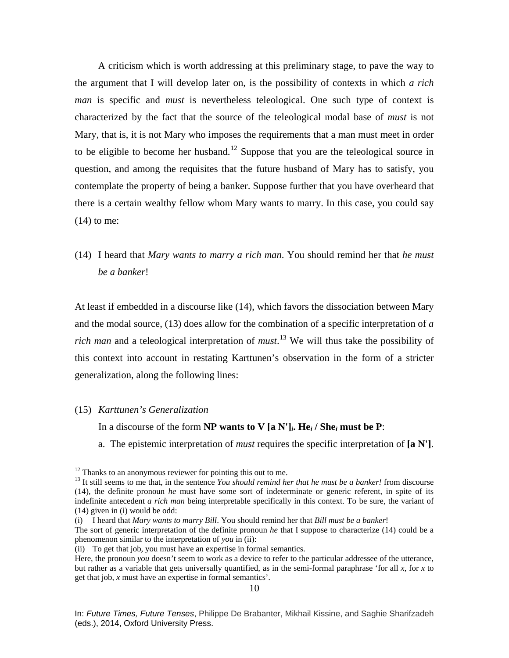A criticism which is worth addressing at this preliminary stage, to pave the way to the argument that I will develop later on, is the possibility of contexts in which *a rich man* is specific and *must* is nevertheless teleological. One such type of context is characterized by the fact that the source of the teleological modal base of *must* is not Mary, that is, it is not Mary who imposes the requirements that a man must meet in order to be eligible to become her husband.<sup>[12](#page-9-0)</sup> Suppose that you are the teleological source in question, and among the requisites that the future husband of Mary has to satisfy, you contemplate the property of being a banker. Suppose further that you have overheard that there is a certain wealthy fellow whom Mary wants to marry. In this case, you could say  $(14)$  to me:

(14) I heard that *Mary wants to marry a rich man*. You should remind her that *he must be a banker*!

At least if embedded in a discourse like (14), which favors the dissociation between Mary and the modal source, (13) does allow for the combination of a specific interpretation of *a rich man* and a teleological interpretation of *must*. [13](#page-9-1) We will thus take the possibility of this context into account in restating Karttunen's observation in the form of a stricter generalization, along the following lines:

#### (15) *Karttunen's Generalization*

In a discourse of the form **NP** wants to V  $[a N']$ *<sub>i</sub>***.** He<sub>*i*</sub> / She<sub>*i*</sub> must be P:

a. The epistemic interpretation of *must* requires the specific interpretation of **[a N']**.

<span id="page-9-1"></span><span id="page-9-0"></span><sup>&</sup>lt;sup>12</sup> Thanks to an anonymous reviewer for pointing this out to me.<br><sup>13</sup> It still seems to me that, in the sentence *You should remind her that he must be a banker!* from discourse (14), the definite pronoun *he* must have some sort of indeterminate or generic referent, in spite of its indefinite antecedent *a rich man* being interpretable specifically in this context. To be sure, the variant of (14) given in (i) would be odd:

<sup>(</sup>i) I heard that *Mary wants to marry Bill*. You should remind her that *Bill must be a banker*!

The sort of generic interpretation of the definite pronoun *he* that I suppose to characterize (14) could be a phenomenon similar to the interpretation of *you* in (ii):

<sup>(</sup>ii) To get that job, you must have an expertise in formal semantics.

Here, the pronoun *you* doesn't seem to work as a device to refer to the particular addressee of the utterance, but rather as a variable that gets universally quantified, as in the semi-formal paraphrase 'for all *x*, for *x* to get that job, *x* must have an expertise in formal semantics'.

In: *Future Times, Future Tenses*, Philippe De Brabanter, Mikhail Kissine, and Saghie Sharifzadeh (eds.), 2014, Oxford University Press.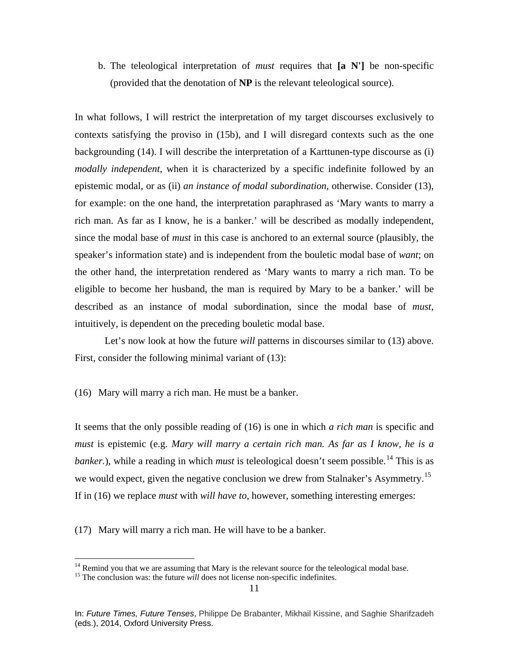b. The teleological interpretation of *must* requires that **[a N']** be non-specific (provided that the denotation of **NP** is the relevant teleological source).

In what follows, I will restrict the interpretation of my target discourses exclusively to contexts satisfying the proviso in (15b), and I will disregard contexts such as the one backgrounding (14). I will describe the interpretation of a Karttunen-type discourse as (i) *modally independent*, when it is characterized by a specific indefinite followed by an epistemic modal, or as (ii) *an instance of modal subordination*, otherwise. Consider (13), for example: on the one hand, the interpretation paraphrased as 'Mary wants to marry a rich man. As far as I know, he is a banker.' will be described as modally independent, since the modal base of *must* in this case is anchored to an external source (plausibly, the speaker's information state) and is independent from the bouletic modal base of *want*; on the other hand, the interpretation rendered as 'Mary wants to marry a rich man. To be eligible to become her husband, the man is required by Mary to be a banker.' will be described as an instance of modal subordination, since the modal base of *must*, intuitively, is dependent on the preceding bouletic modal base.

Let's now look at how the future *will* patterns in discourses similar to (13) above. First, consider the following minimal variant of  $(13)$ :

(16) Mary will marry a rich man. He must be a banker.

It seems that the only possible reading of (16) is one in which *a rich man* is specific and *must* is epistemic (e.g. *Mary will marry a certain rich man. As far as I know, he is a banker.*), while a reading in which *must* is teleological doesn't seem possible.<sup>[14](#page-10-0)</sup> This is as we would expect, given the negative conclusion we drew from Stalnaker's Asymmetry.<sup>[15](#page-10-1)</sup> If in (16) we replace *must* with *will have to*, however, something interesting emerges:

(17) Mary will marry a rich man. He will have to be a banker.

<span id="page-10-1"></span><span id="page-10-0"></span><sup>&</sup>lt;sup>14</sup> Remind you that we are assuming that Mary is the relevant source for the teleological modal base. <sup>15</sup> The conclusion was: the future *will* does not license non-specific indefinites.

In: *Future Times, Future Tenses*, Philippe De Brabanter, Mikhail Kissine, and Saghie Sharifzadeh (eds.), 2014, Oxford University Press.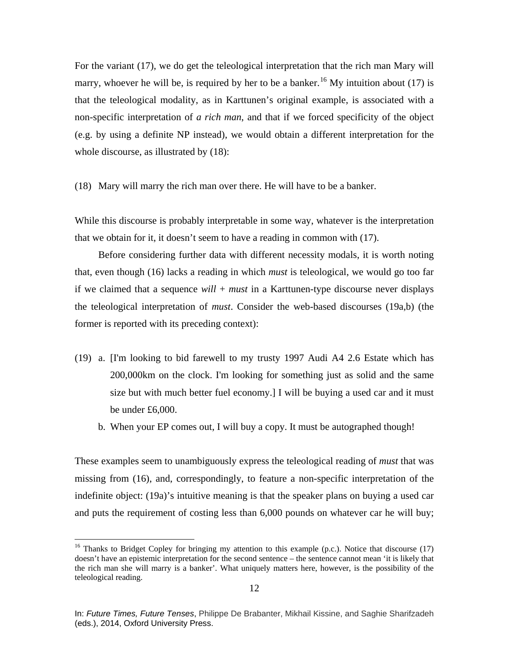For the variant (17), we do get the teleological interpretation that the rich man Mary will marry, whoever he will be, is required by her to be a banker.<sup>[16](#page-11-0)</sup> My intuition about (17) is that the teleological modality, as in Karttunen's original example, is associated with a non-specific interpretation of *a rich man*, and that if we forced specificity of the object (e.g. by using a definite NP instead), we would obtain a different interpretation for the whole discourse, as illustrated by  $(18)$ :

(18) Mary will marry the rich man over there. He will have to be a banker.

While this discourse is probably interpretable in some way, whatever is the interpretation that we obtain for it, it doesn't seem to have a reading in common with (17).

Before considering further data with different necessity modals, it is worth noting that, even though (16) lacks a reading in which *must* is teleological, we would go too far if we claimed that a sequence *will* + *must* in a Karttunen-type discourse never displays the teleological interpretation of *must*. Consider the web-based discourses (19a,b) (the former is reported with its preceding context):

- (19) a. [I'm looking to bid farewell to my trusty 1997 Audi A4 2.6 Estate which has 200,000km on the clock. I'm looking for something just as solid and the same size but with much better fuel economy.] I will be buying a used car and it must be under £6,000.
	- b. When your EP comes out, I will buy a copy. It must be autographed though!

These examples seem to unambiguously express the teleological reading of *must* that was missing from (16), and, correspondingly, to feature a non-specific interpretation of the indefinite object: (19a)'s intuitive meaning is that the speaker plans on buying a used car and puts the requirement of costing less than 6,000 pounds on whatever car he will buy;

<span id="page-11-0"></span><sup>&</sup>lt;sup>16</sup> Thanks to Bridget Copley for bringing my attention to this example (p.c.). Notice that discourse (17) doesn't have an epistemic interpretation for the second sentence – the sentence cannot mean 'it is likely that the rich man she will marry is a banker'. What uniquely matters here, however, is the possibility of the teleological reading.

In: *Future Times, Future Tenses*, Philippe De Brabanter, Mikhail Kissine, and Saghie Sharifzadeh (eds.), 2014, Oxford University Press.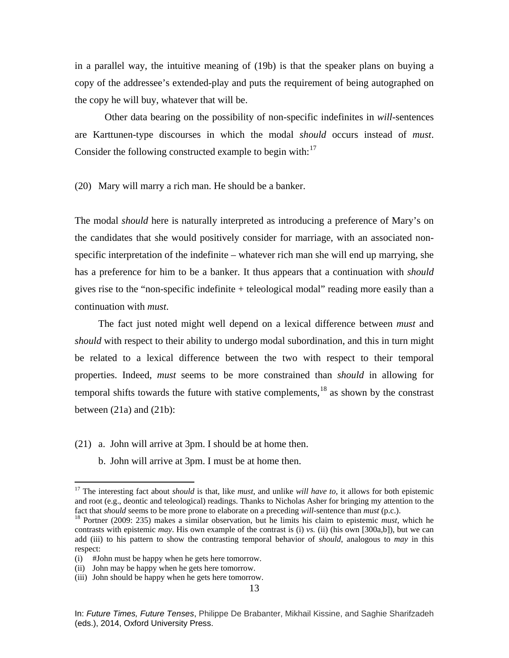in a parallel way, the intuitive meaning of (19b) is that the speaker plans on buying a copy of the addressee's extended-play and puts the requirement of being autographed on the copy he will buy, whatever that will be.

Other data bearing on the possibility of non-specific indefinites in *will*-sentences are Karttunen-type discourses in which the modal *should* occurs instead of *must*. Consider the following constructed example to begin with:<sup>[17](#page-12-0)</sup>

(20) Mary will marry a rich man. He should be a banker.

The modal *should* here is naturally interpreted as introducing a preference of Mary's on the candidates that she would positively consider for marriage, with an associated nonspecific interpretation of the indefinite – whatever rich man she will end up marrying, she has a preference for him to be a banker. It thus appears that a continuation with *should*  gives rise to the "non-specific indefinite + teleological modal" reading more easily than a continuation with *must*.

The fact just noted might well depend on a lexical difference between *must* and *should* with respect to their ability to undergo modal subordination, and this in turn might be related to a lexical difference between the two with respect to their temporal properties. Indeed, *must* seems to be more constrained than *should* in allowing for temporal shifts towards the future with stative complements,  $18$  as shown by the constrast between  $(21a)$  and  $(21b)$ :

- (21) a. John will arrive at 3pm. I should be at home then.
	- b. John will arrive at 3pm. I must be at home then.

<span id="page-12-0"></span> <sup>17</sup> The interesting fact about *should* is that, like *must*, and unlike *will have to*, it allows for both epistemic and root (e.g., deontic and teleological) readings. Thanks to Nicholas Asher for bringing my attention to the fact that *should* seems to be more prone to elaborate on a preceding *will*-sentence than *must* (p.c.).<br><sup>18</sup> Portner (2009: 235) makes a similar observation, but he limits his claim to epistemic *must*, which he

<span id="page-12-1"></span>contrasts with epistemic *may*. His own example of the contrast is (i) *vs.* (ii) (his own [300a,b]), but we can add (iii) to his pattern to show the contrasting temporal behavior of *should*, analogous to *may* in this respect:

<sup>(</sup>i) #John must be happy when he gets here tomorrow.

<sup>(</sup>ii) John may be happy when he gets here tomorrow.

<sup>(</sup>iii) John should be happy when he gets here tomorrow.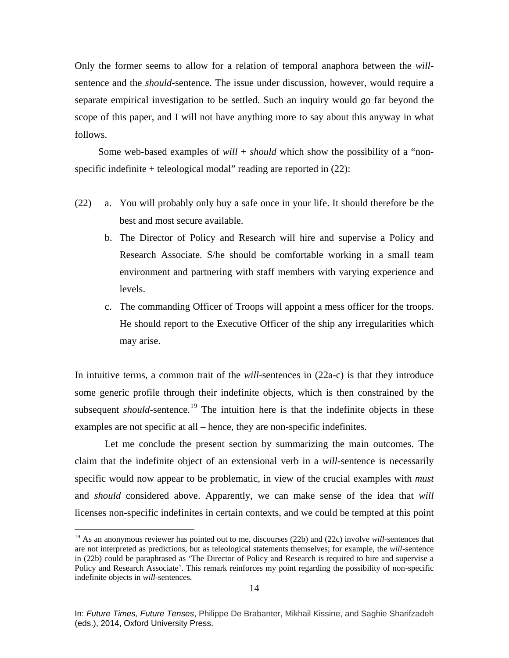Only the former seems to allow for a relation of temporal anaphora between the *will*sentence and the *should*-sentence. The issue under discussion, however, would require a separate empirical investigation to be settled. Such an inquiry would go far beyond the scope of this paper, and I will not have anything more to say about this anyway in what follows.

Some web-based examples of *will* + *should* which show the possibility of a "nonspecific indefinite + teleological modal" reading are reported in (22):

- (22) a. You will probably only buy a safe once in your life. It should therefore be the best and most secure available.
	- b. The Director of Policy and Research will hire and supervise a Policy and Research Associate. S/he should be comfortable working in a small team environment and partnering with staff members with varying experience and levels.
	- c. The commanding Officer of Troops will appoint a mess officer for the troops. He should report to the Executive Officer of the ship any irregularities which may arise.

In intuitive terms, a common trait of the *will*-sentences in (22a-c) is that they introduce some generic profile through their indefinite objects, which is then constrained by the subsequent *should*-sentence.<sup>[19](#page-13-0)</sup> The intuition here is that the indefinite objects in these examples are not specific at all – hence, they are non-specific indefinites.

Let me conclude the present section by summarizing the main outcomes. The claim that the indefinite object of an extensional verb in a *will*-sentence is necessarily specific would now appear to be problematic, in view of the crucial examples with *must*  and *should* considered above. Apparently, we can make sense of the idea that *will* licenses non-specific indefinites in certain contexts, and we could be tempted at this point

<span id="page-13-0"></span> <sup>19</sup> As an anonymous reviewer has pointed out to me, discourses (22b) and (22c) involve *will-*sentences that are not interpreted as predictions, but as teleological statements themselves; for example, the *will*-sentence in (22b) could be paraphrased as 'The Director of Policy and Research is required to hire and supervise a Policy and Research Associate'. This remark reinforces my point regarding the possibility of non-specific indefinite objects in *will*-sentences.

In: *Future Times, Future Tenses*, Philippe De Brabanter, Mikhail Kissine, and Saghie Sharifzadeh (eds.), 2014, Oxford University Press.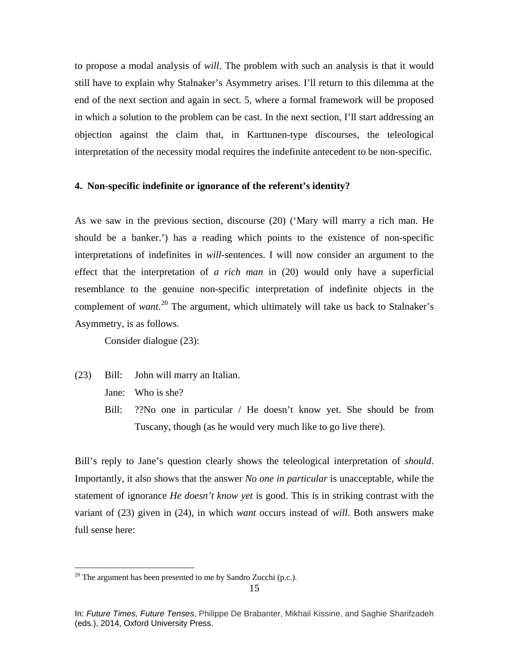to propose a modal analysis of *will*. The problem with such an analysis is that it would still have to explain why Stalnaker's Asymmetry arises. I'll return to this dilemma at the end of the next section and again in sect. 5, where a formal framework will be proposed in which a solution to the problem can be cast. In the next section, I'll start addressing an objection against the claim that, in Karttunen-type discourses, the teleological interpretation of the necessity modal requires the indefinite antecedent to be non-specific.

## **4. Non-specific indefinite or ignorance of the referent's identity?**

As we saw in the previous section, discourse (20) ('Mary will marry a rich man. He should be a banker.') has a reading which points to the existence of non-specific interpretations of indefinites in *will*-sentences. I will now consider an argument to the effect that the interpretation of *a rich man* in (20) would only have a superficial resemblance to the genuine non-specific interpretation of indefinite objects in the complement of *want*. [20](#page-14-0) The argument, which ultimately will take us back to Stalnaker's Asymmetry, is as follows.

Consider dialogue (23):

- (23) Bill: John will marry an Italian.
	- Jane: Who is she?
	- Bill: ??No one in particular / He doesn't know yet. She should be from Tuscany, though (as he would very much like to go live there)*.*

Bill's reply to Jane's question clearly shows the teleological interpretation of *should*. Importantly, it also shows that the answer *No one in particular* is unacceptable, while the statement of ignorance *He doesn't know yet* is good. This is in striking contrast with the variant of (23) given in (24), in which *want* occurs instead of *will*. Both answers make full sense here:

<span id="page-14-0"></span> $20$  The argument has been presented to me by Sandro Zucchi (p.c.).

In: *Future Times, Future Tenses*, Philippe De Brabanter, Mikhail Kissine, and Saghie Sharifzadeh (eds.), 2014, Oxford University Press.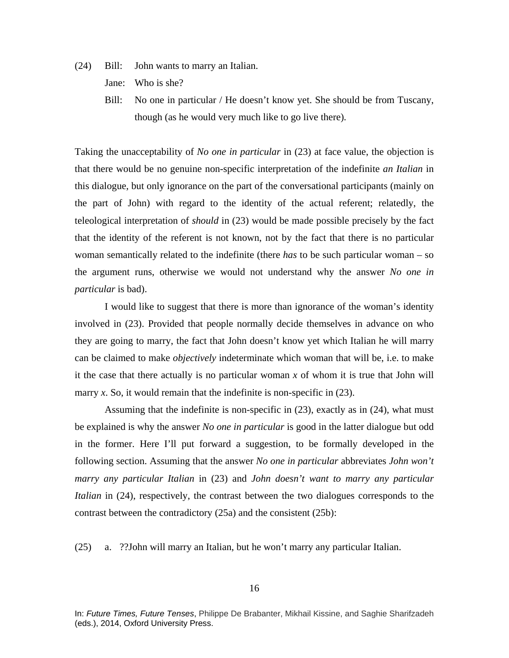(24) Bill: John wants to marry an Italian.

Jane: Who is she?

Bill: No one in particular / He doesn't know yet. She should be from Tuscany, though (as he would very much like to go live there)*.*

Taking the unacceptability of *No one in particular* in (23) at face value, the objection is that there would be no genuine non-specific interpretation of the indefinite *an Italian* in this dialogue, but only ignorance on the part of the conversational participants (mainly on the part of John) with regard to the identity of the actual referent; relatedly, the teleological interpretation of *should* in (23) would be made possible precisely by the fact that the identity of the referent is not known, not by the fact that there is no particular woman semantically related to the indefinite (there *has* to be such particular woman – so the argument runs, otherwise we would not understand why the answer *No one in particular* is bad).

I would like to suggest that there is more than ignorance of the woman's identity involved in (23). Provided that people normally decide themselves in advance on who they are going to marry, the fact that John doesn't know yet which Italian he will marry can be claimed to make *objectively* indeterminate which woman that will be, i.e. to make it the case that there actually is no particular woman *x* of whom it is true that John will marry  $x$ . So, it would remain that the indefinite is non-specific in  $(23)$ .

Assuming that the indefinite is non-specific in (23), exactly as in (24), what must be explained is why the answer *No one in particular* is good in the latter dialogue but odd in the former. Here I'll put forward a suggestion, to be formally developed in the following section. Assuming that the answer *No one in particular* abbreviates *John won't marry any particular Italian* in (23) and *John doesn't want to marry any particular Italian* in (24), respectively, the contrast between the two dialogues corresponds to the contrast between the contradictory (25a) and the consistent (25b):

(25) a. ??John will marry an Italian, but he won't marry any particular Italian.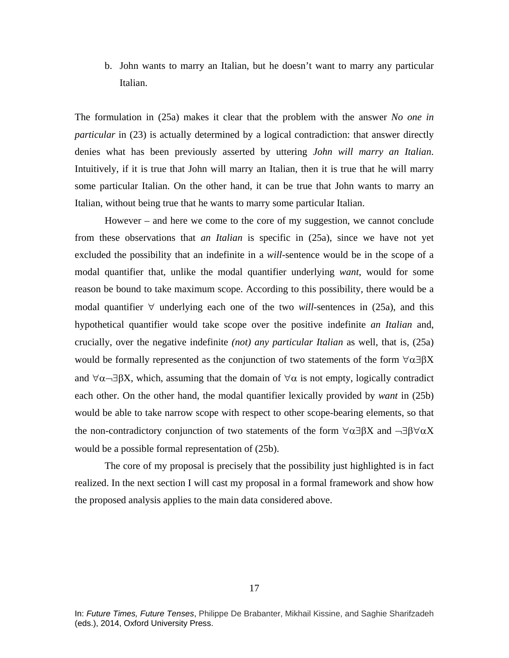b. John wants to marry an Italian, but he doesn't want to marry any particular Italian.

The formulation in (25a) makes it clear that the problem with the answer *No one in particular* in (23) is actually determined by a logical contradiction: that answer directly denies what has been previously asserted by uttering *John will marry an Italian*. Intuitively, if it is true that John will marry an Italian, then it is true that he will marry some particular Italian. On the other hand, it can be true that John wants to marry an Italian, without being true that he wants to marry some particular Italian.

However – and here we come to the core of my suggestion, we cannot conclude from these observations that *an Italian* is specific in (25a), since we have not yet excluded the possibility that an indefinite in a *will*-sentence would be in the scope of a modal quantifier that, unlike the modal quantifier underlying *want*, would for some reason be bound to take maximum scope. According to this possibility, there would be a modal quantifier ∀ underlying each one of the two *will*-sentences in (25a), and this hypothetical quantifier would take scope over the positive indefinite *an Italian* and, crucially, over the negative indefinite *(not) any particular Italian* as well, that is, (25a) would be formally represented as the conjunction of two statements of the form  $\forall \alpha \exists \beta X$ and  $\forall \alpha \neg \exists \beta X$ , which, assuming that the domain of  $\forall \alpha$  is not empty, logically contradict each other. On the other hand, the modal quantifier lexically provided by *want* in (25b) would be able to take narrow scope with respect to other scope-bearing elements, so that the non-contradictory conjunction of two statements of the form  $\forall \alpha \exists \beta X$  and  $\neg \exists \beta \forall \alpha X$ would be a possible formal representation of (25b).

The core of my proposal is precisely that the possibility just highlighted is in fact realized. In the next section I will cast my proposal in a formal framework and show how the proposed analysis applies to the main data considered above.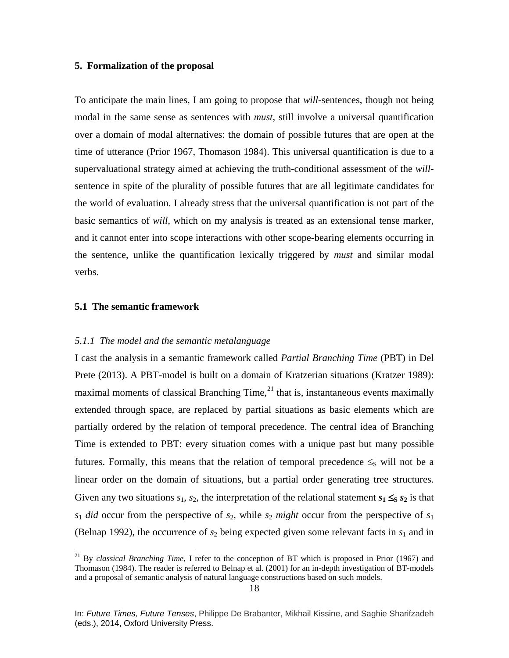## **5. Formalization of the proposal**

To anticipate the main lines, I am going to propose that *will*-sentences, though not being modal in the same sense as sentences with *must*, still involve a universal quantification over a domain of modal alternatives: the domain of possible futures that are open at the time of utterance (Prior 1967, Thomason 1984). This universal quantification is due to a supervaluational strategy aimed at achieving the truth-conditional assessment of the *will*sentence in spite of the plurality of possible futures that are all legitimate candidates for the world of evaluation. I already stress that the universal quantification is not part of the basic semantics of *will*, which on my analysis is treated as an extensional tense marker, and it cannot enter into scope interactions with other scope-bearing elements occurring in the sentence, unlike the quantification lexically triggered by *must* and similar modal verbs.

## **5.1 The semantic framework**

#### *5.1.1 The model and the semantic metalanguage*

I cast the analysis in a semantic framework called *Partial Branching Time* (PBT) in Del Prete (2013). A PBT-model is built on a domain of Kratzerian situations (Kratzer 1989): maximal moments of classical Branching Time, $^{21}$  $^{21}$  $^{21}$  that is, instantaneous events maximally extended through space, are replaced by partial situations as basic elements which are partially ordered by the relation of temporal precedence. The central idea of Branching Time is extended to PBT: every situation comes with a unique past but many possible futures. Formally, this means that the relation of temporal precedence  $\leq_S$  will not be a linear order on the domain of situations, but a partial order generating tree structures. Given any two situations  $s_1$ ,  $s_2$ , the interpretation of the relational statement  $s_1 \leq s_2$  is that  $s_1$  *did* occur from the perspective of  $s_2$ , while  $s_2$  *might* occur from the perspective of  $s_1$ (Belnap 1992), the occurrence of  $s_2$  being expected given some relevant facts in  $s_1$  and in

<span id="page-17-0"></span> <sup>21</sup> By *classical Branching Time*, I refer to the conception of BT which is proposed in Prior (1967) and Thomason (1984). The reader is referred to Belnap et al. (2001) for an in-depth investigation of BT-models and a proposal of semantic analysis of natural language constructions based on such models.

In: *Future Times, Future Tenses*, Philippe De Brabanter, Mikhail Kissine, and Saghie Sharifzadeh (eds.), 2014, Oxford University Press.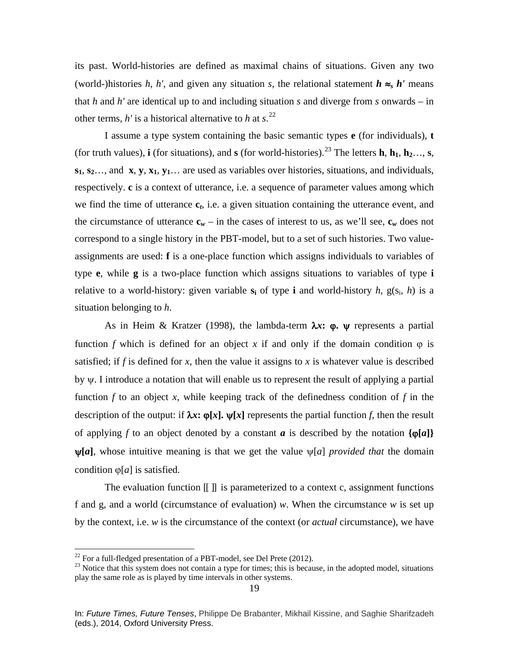its past. World-histories are defined as maximal chains of situations. Given any two (world-)histories *h*, *h'*, and given any situation *s*, the relational statement  $h \approx_{s} h'$  means that *h* and *h'* are identical up to and including situation *s* and diverge from *s* onwards – in other terms,  $h'$  is a historical alternative to  $h$  at  $s$ .<sup>[22](#page-18-0)</sup>

I assume a type system containing the basic semantic types **e** (for individuals), **t**  (for truth values), **i** (for situations), and **s** (for world-histories).<sup>[23](#page-18-1)</sup> The letters **h**, **h**<sub>1</sub>, **h**<sub>2</sub>…, **s**,  $s_1, s_2, \ldots$  and **x**, **y**,  $x_1, y_1, \ldots$  are used as variables over histories, situations, and individuals, respectively. **c** is a context of utterance, i.e. a sequence of parameter values among which we find the time of utterance **c***t*, i.e. a given situation containing the utterance event, and the circumstance of utterance  $\mathbf{c}_w$  – in the cases of interest to us, as we'll see,  $\mathbf{c}_w$  does not correspond to a single history in the PBT-model, but to a set of such histories. Two valueassignments are used: **f** is a one-place function which assigns individuals to variables of type **e**, while **g** is a two-place function which assigns situations to variables of type **i** relative to a world-history: given variable  $s_i$  of type **i** and world-history *h*,  $g(s_i, h)$  is a situation belonging to *h*.

As in Heim & Kratzer (1998), the lambda-term λ*x***:** ϕ**.** ψ represents a partial function *f* which is defined for an object *x* if and only if the domain condition  $\varphi$  is satisfied; if f is defined for x, then the value it assigns to x is whatever value is described by ψ. I introduce a notation that will enable us to represent the result of applying a partial function  $f$  to an object  $x$ , while keeping track of the definedness condition of  $f$  in the description of the output: if  $\lambda x$ **:**  $\varphi[x]$ **.**  $\psi[x]$  represents the partial function *f*, then the result of applying *f* to an object denoted by a constant *a* is described by the notation  $\{\varphi[a]\}$  $\n *w*[*a*],$  whose intuitive meaning is that we get the value  $\n *w*[*a*]$  *provided that* the domain condition ϕ[*a*] is satisfied.

The evaluation function  $\llbracket \cdot \rrbracket$  is parameterized to a context c, assignment functions f and g, and a world (circumstance of evaluation) *w*. When the circumstance *w* is set up by the context, i.e. *w* is the circumstance of the context (or *actual* circumstance), we have

<span id="page-18-1"></span><span id="page-18-0"></span><sup>&</sup>lt;sup>22</sup> For a full-fledged presentation of a PBT-model, see Del Prete (2012).<br><sup>23</sup> Notice that this system does not contain a type for times; this is because, in the adopted model, situations play the same role as is played by time intervals in other systems.

In: *Future Times, Future Tenses*, Philippe De Brabanter, Mikhail Kissine, and Saghie Sharifzadeh (eds.), 2014, Oxford University Press.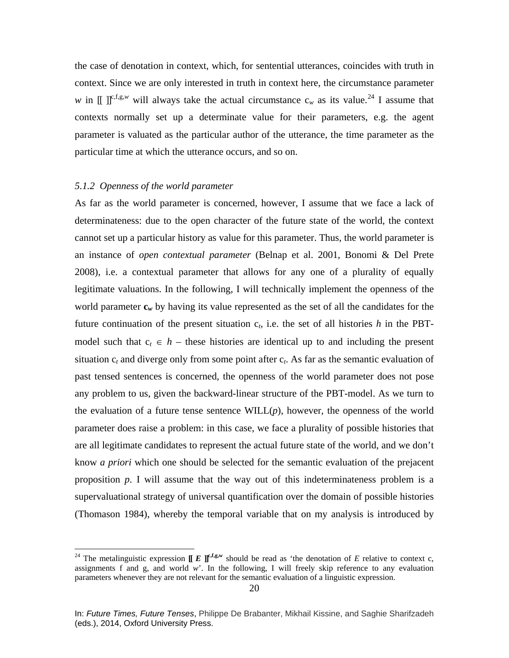the case of denotation in context, which, for sentential utterances, coincides with truth in context. Since we are only interested in truth in context here, the circumstance parameter *w* in  $\iint_{0}^{\infty} \int_{0}^{\infty} f(x, y, y, z) dx$  will always take the actual circumstance c<sub>*w*</sub> as its value.<sup>[24](#page-19-0)</sup> I assume that contexts normally set up a determinate value for their parameters, e.g. the agent parameter is valuated as the particular author of the utterance, the time parameter as the particular time at which the utterance occurs, and so on.

## *5.1.2 Openness of the world parameter*

As far as the world parameter is concerned, however, I assume that we face a lack of determinateness: due to the open character of the future state of the world, the context cannot set up a particular history as value for this parameter. Thus, the world parameter is an instance of *open contextual parameter* (Belnap et al. 2001, Bonomi & Del Prete 2008), i.e. a contextual parameter that allows for any one of a plurality of equally legitimate valuations. In the following, I will technically implement the openness of the world parameter  $\mathbf{c}_w$  by having its value represented as the set of all the candidates for the future continuation of the present situation  $c_t$ , i.e. the set of all histories  $h$  in the PBTmodel such that  $c_t \in h$  – these histories are identical up to and including the present situation  $c_t$  and diverge only from some point after  $c_t$ . As far as the semantic evaluation of past tensed sentences is concerned, the openness of the world parameter does not pose any problem to us, given the backward-linear structure of the PBT-model. As we turn to the evaluation of a future tense sentence  $\text{WILL}(p)$ , however, the openness of the world parameter does raise a problem: in this case, we face a plurality of possible histories that are all legitimate candidates to represent the actual future state of the world, and we don't know *a priori* which one should be selected for the semantic evaluation of the prejacent proposition *p*. I will assume that the way out of this indeterminateness problem is a supervaluational strategy of universal quantification over the domain of possible histories (Thomason 1984), whereby the temporal variable that on my analysis is introduced by

<span id="page-19-0"></span><sup>&</sup>lt;sup>24</sup> The metalinguistic expression  $[$ **[** $E$  $]$  $]$ <sup> $f$ </sup>, $f$ ,g,w<sub></sub> should be read as 'the denotation of *E* relative to context c, assignments f and g, and world *w*'. In the following, I will freely skip reference to any evaluation parameters whenever they are not relevant for the semantic evaluation of a linguistic expression.

In: *Future Times, Future Tenses*, Philippe De Brabanter, Mikhail Kissine, and Saghie Sharifzadeh (eds.), 2014, Oxford University Press.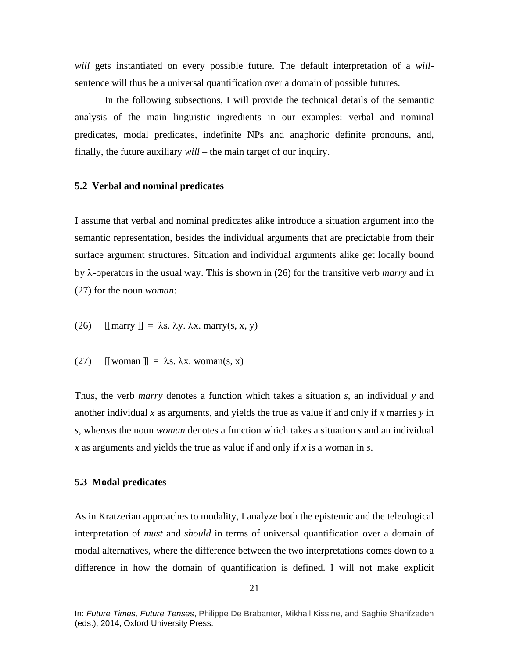*will* gets instantiated on every possible future. The default interpretation of a *will*sentence will thus be a universal quantification over a domain of possible futures.

In the following subsections, I will provide the technical details of the semantic analysis of the main linguistic ingredients in our examples: verbal and nominal predicates, modal predicates, indefinite NPs and anaphoric definite pronouns, and, finally, the future auxiliary *will* – the main target of our inquiry.

#### **5.2 Verbal and nominal predicates**

I assume that verbal and nominal predicates alike introduce a situation argument into the semantic representation, besides the individual arguments that are predictable from their surface argument structures. Situation and individual arguments alike get locally bound by λ-operators in the usual way. This is shown in (26) for the transitive verb *marry* and in (27) for the noun *woman*:

(26) 
$$
[[\text{marry}]] = \lambda s. \lambda y. \lambda x. \text{marry}(s, x, y)
$$

(27) 
$$
[[\text{woman}]] = \lambda s. \lambda x. \text{woman}(s, x)
$$

Thus, the verb *marry* denotes a function which takes a situation *s*, an individual *y* and another individual *x* as arguments, and yields the true as value if and only if *x* marries *y* in *s*, whereas the noun *woman* denotes a function which takes a situation *s* and an individual *x* as arguments and yields the true as value if and only if *x* is a woman in *s*.

#### **5.3 Modal predicates**

As in Kratzerian approaches to modality, I analyze both the epistemic and the teleological interpretation of *must* and *should* in terms of universal quantification over a domain of modal alternatives, where the difference between the two interpretations comes down to a difference in how the domain of quantification is defined. I will not make explicit

In: *Future Times, Future Tenses*, Philippe De Brabanter, Mikhail Kissine, and Saghie Sharifzadeh (eds.), 2014, Oxford University Press.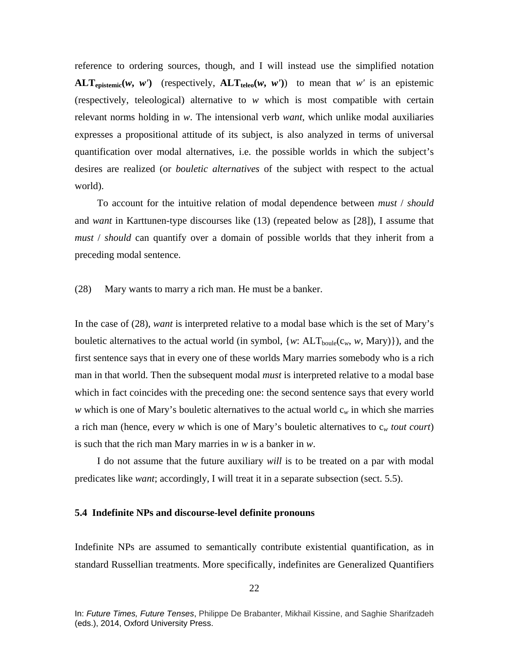reference to ordering sources, though, and I will instead use the simplified notation  $ALT_{\text{enistemic}}(w, w')$  (respectively,  $ALT_{\text{teleo}}(w, w')$ ) to mean that *w'* is an epistemic (respectively, teleological) alternative to *w* which is most compatible with certain relevant norms holding in *w*. The intensional verb *want*, which unlike modal auxiliaries expresses a propositional attitude of its subject, is also analyzed in terms of universal quantification over modal alternatives, i.e. the possible worlds in which the subject's desires are realized (or *bouletic alternatives* of the subject with respect to the actual world).

To account for the intuitive relation of modal dependence between *must* / *should*  and *want* in Karttunen-type discourses like (13) (repeated below as [28]), I assume that *must* / *should* can quantify over a domain of possible worlds that they inherit from a preceding modal sentence.

(28) Mary wants to marry a rich man. He must be a banker.

In the case of (28), *want* is interpreted relative to a modal base which is the set of Mary's bouletic alternatives to the actual world (in symbol,  $\{w: ALT_{boule}(c_w, w, Mary)\}\)$ , and the first sentence says that in every one of these worlds Mary marries somebody who is a rich man in that world. Then the subsequent modal *must* is interpreted relative to a modal base which in fact coincides with the preceding one: the second sentence says that every world *w* which is one of Mary's bouletic alternatives to the actual world  $c_w$  in which she marries a rich man (hence, every *w* which is one of Mary's bouletic alternatives to c*<sup>w</sup> tout court*) is such that the rich man Mary marries in *w* is a banker in *w*.

I do not assume that the future auxiliary *will* is to be treated on a par with modal predicates like *want*; accordingly, I will treat it in a separate subsection (sect. 5.5).

## **5.4 Indefinite NPs and discourse-level definite pronouns**

Indefinite NPs are assumed to semantically contribute existential quantification, as in standard Russellian treatments. More specifically, indefinites are Generalized Quantifiers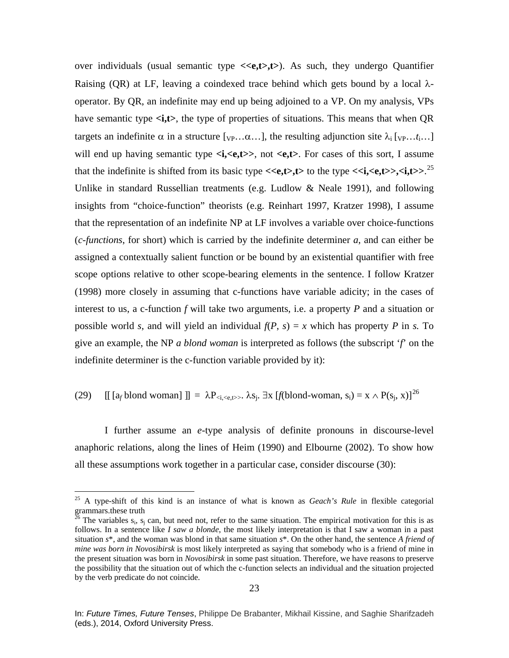over individuals (usual semantic type  $\langle\langle e,t\rangle,t\rangle$ ). As such, they undergo Quantifier Raising (QR) at LF, leaving a coindexed trace behind which gets bound by a local  $\lambda$ operator. By QR, an indefinite may end up being adjoined to a VP. On my analysis, VPs have semantic type  $\langle i, t \rangle$ , the type of properties of situations. This means that when QR targets an indefinite  $\alpha$  in a structure [ $v_P \ldots \alpha \ldots$ ], the resulting adjunction site  $\lambda_i$  [ $v_P \ldots t_i \ldots$ ] will end up having semantic type  $\langle i, \langle e, t \rangle \rangle$ , not  $\langle e, t \rangle$ . For cases of this sort, I assume that the indefinite is shifted from its basic type  $\langle\langle e,t\rangle, t\rangle$  to the type  $\langle\langle i,\langle e,t\rangle\rangle, \langle i,t\rangle\rangle$ .<sup>[25](#page-22-0)</sup> Unlike in standard Russellian treatments (e.g. Ludlow & Neale 1991), and following insights from "choice-function" theorists (e.g. Reinhart 1997, Kratzer 1998), I assume that the representation of an indefinite NP at LF involves a variable over choice-functions (*c-functions*, for short) which is carried by the indefinite determiner *a*, and can either be assigned a contextually salient function or be bound by an existential quantifier with free scope options relative to other scope-bearing elements in the sentence. I follow Kratzer (1998) more closely in assuming that c-functions have variable adicity; in the cases of interest to us, a c-function *f* will take two arguments, i.e. a property *P* and a situation or possible world *s*, and will yield an individual  $f(P, s) = x$  which has property *P* in *s*. To give an example, the NP *a blond woman* is interpreted as follows (the subscript '*f*' on the indefinite determiner is the c-function variable provided by it):

(29) 
$$
[[ [a_f \text{blond woman}] ]] = \lambda P_{\text{si},\text{se},\text{t}} \lambda s_j
$$
.  $\exists x \, [f(\text{blond-woman}, s_i) = x \wedge P(s_j, x)]^{26}$ 

I further assume an *e*-type analysis of definite pronouns in discourse-level anaphoric relations, along the lines of Heim (1990) and Elbourne (2002). To show how all these assumptions work together in a particular case, consider discourse (30):

<span id="page-22-0"></span> <sup>25</sup> A type-shift of this kind is an instance of what is known as *Geach's Rule* in flexible categorial grammars.these truth

<span id="page-22-1"></span> $^{26}$  The variables s<sub>i</sub>, s<sub>j</sub> can, but need not, refer to the same situation. The empirical motivation for this is as follows. In a sentence like *I saw a blonde*, the most likely interpretation is that I saw a woman in a past situation *s*\*, and the woman was blond in that same situation *s*\*. On the other hand, the sentence *A friend of mine was born in Novosibirsk* is most likely interpreted as saying that somebody who is a friend of mine in the present situation was born in *Novosibirsk* in some past situation. Therefore, we have reasons to preserve the possibility that the situation out of which the c-function selects an individual and the situation projected by the verb predicate do not coincide.

In: *Future Times, Future Tenses*, Philippe De Brabanter, Mikhail Kissine, and Saghie Sharifzadeh (eds.), 2014, Oxford University Press.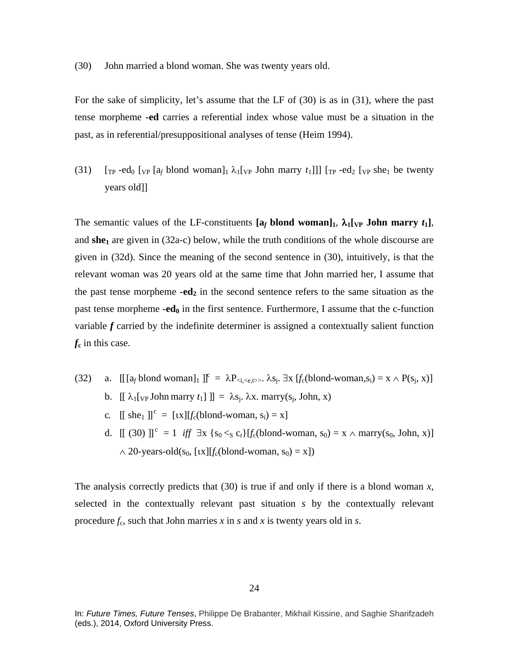(30) John married a blond woman. She was twenty years old.

For the sake of simplicity, let's assume that the LF of (30) is as in (31), where the past tense morpheme **-ed** carries a referential index whose value must be a situation in the past, as in referential/presuppositional analyses of tense (Heim 1994).

(31)  $\left[\begin{array}{cc} \text{Tr } -\text{ed}_0 \end{array}\right]$  [<sub>VP</sub>  $\left[\begin{array}{cc} a_f \end{array}\right]$ blond woman]<sub>1</sub>  $\lambda_1$ [<sub>VP</sub> John marry  $t_1$ ]]]  $\left[\begin{array}{cc} \text{Tr } -\text{ed}_2 \end{array}\right]$  [<sub>VP</sub> she<sub>1</sub> be twenty years old]]

The semantic values of the LF-constituents  $[a_f \text{ blond woman}]_1$ ,  $\lambda_1[\text{vp John marrow } t_1]$ , and  $she<sub>1</sub>$  are given in (32a-c) below, while the truth conditions of the whole discourse are given in (32d). Since the meaning of the second sentence in (30), intuitively, is that the relevant woman was 20 years old at the same time that John married her, I assume that the past tense morpheme  $-ed_2$  in the second sentence refers to the same situation as the past tense morpheme  $-\text{ed}_0$  in the first sentence. Furthermore, I assume that the c-function variable *f* carried by the indefinite determiner is assigned a contextually salient function *f***<sup>c</sup>** in this case.

- (32) a.  $[[ [a_f \text{blond woman}]_1 ]]^c = \lambda P_{\langle i, \langle e, t \rangle \rangle}$ .  $\lambda s_j$ .  $\exists x [f_c(\text{blond-woman}, s_i) = x \wedge P(s_j, x)]$ 
	- b.  $[\![ \lambda_1[\}_{\forall P}]$  John marry  $t_1]\!] = \lambda s_j$ .  $\lambda x$ . marry( $s_j$ , John, x)
	- c.  $[[ \text{ she}_1 ]]^c = [tx][f_c(\text{blond-woman}, s_i) = x]$
	- d.  $[[ (30) ]]^{c} = 1$  *iff*  $\exists x \{s_0 \leq s \ c_t\} [f_c(\text{blond-woman}, s_0) = x \land \text{marry}(s_0, \text{John}, x)]$  $\land$  20-years-old(s<sub>0</sub>, [*ux*][*f<sub>c</sub>*(blond-woman, s<sub>0</sub>) = x])

The analysis correctly predicts that (30) is true if and only if there is a blond woman *x*, selected in the contextually relevant past situation *s* by the contextually relevant procedure  $f_c$ , such that John marries  $x$  in  $s$  and  $x$  is twenty years old in  $s$ .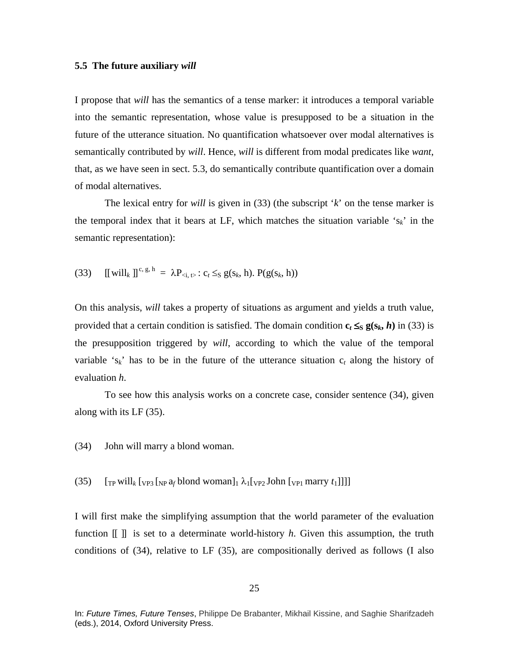## **5.5 The future auxiliary** *will*

I propose that *will* has the semantics of a tense marker: it introduces a temporal variable into the semantic representation, whose value is presupposed to be a situation in the future of the utterance situation. No quantification whatsoever over modal alternatives is semantically contributed by *will*. Hence, *will* is different from modal predicates like *want*, that, as we have seen in sect. 5.3, do semantically contribute quantification over a domain of modal alternatives.

The lexical entry for *will* is given in (33) (the subscript '*k*' on the tense marker is the temporal index that it bears at LF, which matches the situation variable  $s_k$  in the semantic representation):

(33) 
$$
[[\text{will}_k]]^{c, g, h} = \lambda P_{\text{si}, \text{t}} : c_t \leq_S g(s_k, h). P(g(s_k, h))
$$

On this analysis, *will* takes a property of situations as argument and yields a truth value, provided that a certain condition is satisfied. The domain condition  $c_t \leq_S g(s_k, h)$  in (33) is the presupposition triggered by *will*, according to which the value of the temporal variable 's<sub>k</sub>' has to be in the future of the utterance situation  $c_t$  along the history of evaluation *h*.

To see how this analysis works on a concrete case, consider sentence (34), given along with its LF (35).

- (34) John will marry a blond woman.
- (35)  $\left[\frac{1}{TP} \text{ will } k \left[\frac{1}{TP^2} \left( \frac{1}{TP} \lambda_1 \right) \left( \frac{1}{TP^2} \lambda_1 \right) \left( \frac{1}{TP^2} \lambda_1 \right) \left( \frac{1}{TP^2} \lambda_1 \right) \left( \frac{1}{TP^2} \lambda_1 \right) \left( \frac{1}{TP^2} \lambda_1 \right) \left( \frac{1}{TP^2} \lambda_1 \right) \left( \frac{1}{TP^2} \lambda_1 \right) \left( \frac{1}{TP^2} \lambda_1 \right) \left( \frac{1}{TP^2} \lambda_1 \right) \$

I will first make the simplifying assumption that the world parameter of the evaluation function [[ ]] is set to a determinate world-history *h*. Given this assumption, the truth conditions of (34), relative to LF (35), are compositionally derived as follows (I also

In: *Future Times, Future Tenses*, Philippe De Brabanter, Mikhail Kissine, and Saghie Sharifzadeh (eds.), 2014, Oxford University Press.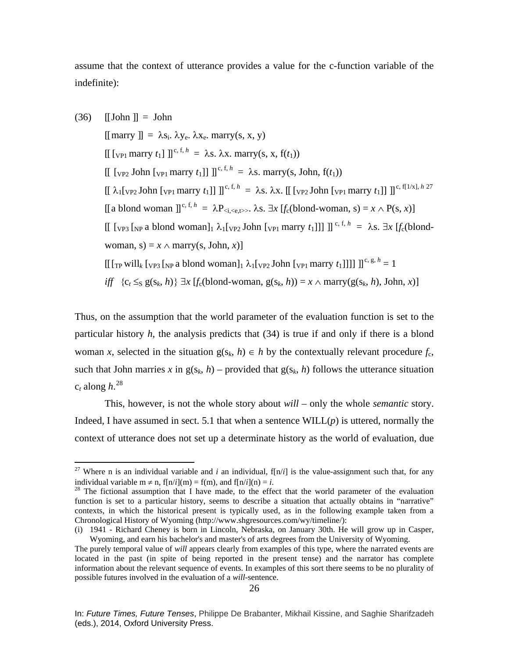assume that the context of utterance provides a value for the c-function variable of the indefinite):

 $(36)$   $\text{[John]} = \text{John}$  $[\text{marry }]] = \lambda s_i$ .  $\lambda y_e$ .  $\lambda x_e$ . marry(s, x, y)  $[[$  [<sub>VP1</sub> marry  $t_1$ ]  $]]^{c, f, h} = \lambda s$ .  $\lambda x$ . marry(s, x, f( $t_1$ ))  $[[$  [<sub>VP2</sub> John [<sub>VP1</sub> marry  $t_1$ ]]  $]$ <sup>c, f, h</sup> =  $\lambda$ s. marry(s, John, f( $t_1$ ))  $[[ \lambda_1[\text{vP2} \text{John } [\text{vP1} \text{mary } t_1]]]]^{c, f, h} = \lambda s. \lambda x. [[ [\text{vP2} \text{John } [\text{vP1} \text{mary } t_1]]]]^{c, f[1/x], h \cdot 27}$  $[[ \lambda_1[\text{vP2} \text{John } [\text{vP1} \text{mary } t_1]]]]^{c, f, h} = \lambda s. \lambda x. [[ [\text{vP2} \text{John } [\text{vP1} \text{mary } t_1]]]]^{c, f[1/x], h \cdot 27}$  $[[ \lambda_1[\text{vP2} \text{John } [\text{vP1} \text{mary } t_1]]]]^{c, f, h} = \lambda s. \lambda x. [[ [\text{vP2} \text{John } [\text{vP1} \text{mary } t_1]]]]^{c, f[1/x], h \cdot 27}$  $[[a\textrm{ blond woman }]]^{c, f, h} = \lambda P_{\langle i, \langle e, t \rangle \rangle}$ .  $\lambda s. \exists x [f_c(\textrm{blond-woman}, s) = x \wedge P(s, x)]$  $[[$  [vp<sub>3</sub> [<sub>NP</sub> a blond woman]<sub>1</sub>  $\lambda_1$ [<sub>VP2</sub> John [<sub>VP1</sub> marry  $t_1$ ]]] ]]<sup>c, f, h</sup> =  $\lambda$ s.  $\exists x$  [*f<sub>c</sub>*(blondwoman,  $s$ ) = *x*  $\land$  marry(*s*, John, *x*)]  $[[[\]$ <sub>TP</sub> will<sub>k</sub>  $[\]$ <sub>NP3</sub>  $[\]$ <sub>NP</sub> a blond woman]<sub>1</sub>  $\lambda_1[\]$ <sub>VP2</sub> John  $[\]$ <sub>VP1</sub> marry  $t_1$ ]]]]  $[]$ <sup>c, g, h</sup> = 1 *iff*  ${c_t ≤_S g(s_k, h)} \exists x [f_c(blond-woman, g(s_k, h)) = x ∧ marry(g(s_k, h), John, x)]$ 

Thus, on the assumption that the world parameter of the evaluation function is set to the particular history *h*, the analysis predicts that (34) is true if and only if there is a blond woman *x*, selected in the situation  $g(s_k, h) \in h$  by the contextually relevant procedure  $f_c$ , such that John marries x in  $g(s_k, h)$  – provided that  $g(s_k, h)$  follows the utterance situation  $c_t$  along  $h$ .<sup>[28](#page-25-1)</sup>

This, however, is not the whole story about *will* – only the whole *semantic* story. Indeed, I have assumed in sect. 5.1 that when a sentence  $\text{WILL}(p)$  is uttered, normally the context of utterance does not set up a determinate history as the world of evaluation, due

<span id="page-25-0"></span><sup>&</sup>lt;sup>27</sup> Where n is an individual variable and *i* an individual,  $f[n/i]$  is the value-assignment such that, for any individual variable m  $\neq$  n, f[n/*i*](m) = f(m), and f[n/*i*](n) = *i*.<br><sup>28</sup> The fictional assumption that I have made, to the effect that the world parameter of the evaluation

<span id="page-25-1"></span>function is set to a particular history, seems to describe a situation that actually obtains in "narrative" contexts, in which the historical present is typically used, as in the following example taken from a Chronological History of Wyoming (http://www.shgresources.com/wy/timeline/):

<sup>(</sup>i) 1941 - Richard Cheney is born in Lincoln, Nebraska, on January 30th. He will grow up in Casper, Wyoming, and earn his bachelor's and master's of arts degrees from the University of Wyoming.

The purely temporal value of *will* appears clearly from examples of this type, where the narrated events are located in the past (in spite of being reported in the present tense) and the narrator has complete information about the relevant sequence of events. In examples of this sort there seems to be no plurality of possible futures involved in the evaluation of a *will*-sentence.

In: *Future Times, Future Tenses*, Philippe De Brabanter, Mikhail Kissine, and Saghie Sharifzadeh (eds.), 2014, Oxford University Press.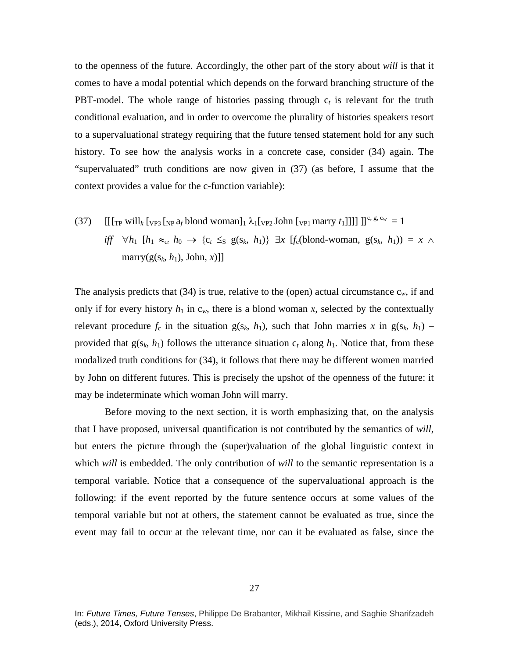to the openness of the future. Accordingly, the other part of the story about *will* is that it comes to have a modal potential which depends on the forward branching structure of the PBT-model. The whole range of histories passing through  $c<sub>t</sub>$  is relevant for the truth conditional evaluation, and in order to overcome the plurality of histories speakers resort to a supervaluational strategy requiring that the future tensed statement hold for any such history. To see how the analysis works in a concrete case, consider (34) again. The "supervaluated" truth conditions are now given in (37) (as before, I assume that the context provides a value for the c-function variable):

(37)  $\left[\left[\frac{1}{T_P} \text{ will } k \left[\text{v}_P\right] \left[\text{v}_P\right] \phi \right] \right] \left[\frac{1}{T_P} \phi \right]$  (1)  $\left[\text{v}_P\right] \left[\text{v}_P\right]$  marry  $t_1$ ]]]]  $\left[\text{v}_P\right] \left[\text{v}_P\right]$ *iff*  $\forall h_1$  [ $h_1 \approx_{c_t} h_0 \rightarrow \{c_t \leq_S g(s_k, h_1)\}$  ∃*x* [*f*<sub>c</sub>(blond-woman,  $g(s_k, h_1)$ ) = *x* ∧ marry( $g(s_k, h_1)$ , John,  $x$ )]]

The analysis predicts that  $(34)$  is true, relative to the (open) actual circumstance  $c_w$ , if and only if for every history  $h_1$  in  $c_w$ , there is a blond woman x, selected by the contextually relevant procedure  $f_c$  in the situation  $g(s_k, h_1)$ , such that John marries x in  $g(s_k, h_1)$  – provided that  $g(s_k, h_1)$  follows the utterance situation  $c_t$  along  $h_1$ . Notice that, from these modalized truth conditions for (34), it follows that there may be different women married by John on different futures. This is precisely the upshot of the openness of the future: it may be indeterminate which woman John will marry.

Before moving to the next section, it is worth emphasizing that, on the analysis that I have proposed, universal quantification is not contributed by the semantics of *will*, but enters the picture through the (super)valuation of the global linguistic context in which *will* is embedded. The only contribution of *will* to the semantic representation is a temporal variable. Notice that a consequence of the supervaluational approach is the following: if the event reported by the future sentence occurs at some values of the temporal variable but not at others, the statement cannot be evaluated as true, since the event may fail to occur at the relevant time, nor can it be evaluated as false, since the

In: *Future Times, Future Tenses*, Philippe De Brabanter, Mikhail Kissine, and Saghie Sharifzadeh (eds.), 2014, Oxford University Press.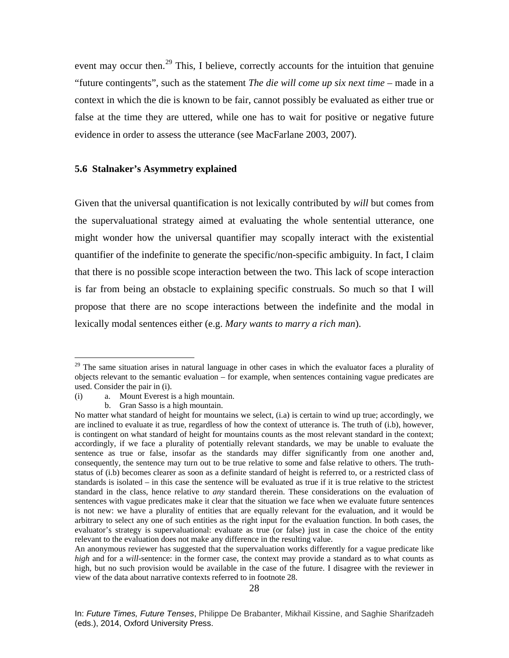event may occur then.<sup>[29](#page-27-0)</sup> This, I believe, correctly accounts for the intuition that genuine "future contingents", such as the statement *The die will come up six next time* – made in a context in which the die is known to be fair, cannot possibly be evaluated as either true or false at the time they are uttered, while one has to wait for positive or negative future evidence in order to assess the utterance (see MacFarlane 2003, 2007).

# **5.6 Stalnaker's Asymmetry explained**

Given that the universal quantification is not lexically contributed by *will* but comes from the supervaluational strategy aimed at evaluating the whole sentential utterance, one might wonder how the universal quantifier may scopally interact with the existential quantifier of the indefinite to generate the specific/non-specific ambiguity. In fact, I claim that there is no possible scope interaction between the two. This lack of scope interaction is far from being an obstacle to explaining specific construals. So much so that I will propose that there are no scope interactions between the indefinite and the modal in lexically modal sentences either (e.g. *Mary wants to marry a rich man*).

<span id="page-27-0"></span><sup>&</sup>lt;sup>29</sup> The same situation arises in natural language in other cases in which the evaluator faces a plurality of objects relevant to the semantic evaluation – for example, when sentences containing vague predicates are used. Consider the pair in (i).

<sup>(</sup>i) a. Mount Everest is a high mountain.

b. Gran Sasso is a high mountain.

No matter what standard of height for mountains we select, (i.a) is certain to wind up true; accordingly, we are inclined to evaluate it as true, regardless of how the context of utterance is. The truth of (i.b), however, is contingent on what standard of height for mountains counts as the most relevant standard in the context; accordingly, if we face a plurality of potentially relevant standards, we may be unable to evaluate the sentence as true or false, insofar as the standards may differ significantly from one another and, consequently, the sentence may turn out to be true relative to some and false relative to others. The truthstatus of (i.b) becomes clearer as soon as a definite standard of height is referred to, or a restricted class of standards is isolated – in this case the sentence will be evaluated as true if it is true relative to the strictest standard in the class, hence relative to *any* standard therein. These considerations on the evaluation of sentences with vague predicates make it clear that the situation we face when we evaluate future sentences is not new: we have a plurality of entities that are equally relevant for the evaluation, and it would be arbitrary to select any one of such entities as the right input for the evaluation function. In both cases, the evaluator's strategy is supervaluational: evaluate as true (or false) just in case the choice of the entity relevant to the evaluation does not make any difference in the resulting value.

An anonymous reviewer has suggested that the supervaluation works differently for a vague predicate like *high* and for a *will-*sentence: in the former case, the context may provide a standard as to what counts as high, but no such provision would be available in the case of the future. I disagree with the reviewer in view of the data about narrative contexts referred to in footnote 28.

In: *Future Times, Future Tenses*, Philippe De Brabanter, Mikhail Kissine, and Saghie Sharifzadeh (eds.), 2014, Oxford University Press.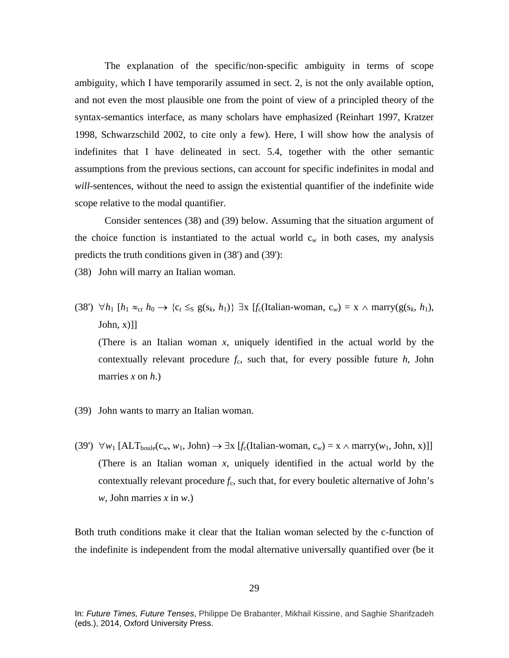The explanation of the specific/non-specific ambiguity in terms of scope ambiguity, which I have temporarily assumed in sect. 2, is not the only available option, and not even the most plausible one from the point of view of a principled theory of the syntax-semantics interface, as many scholars have emphasized (Reinhart 1997, Kratzer 1998, Schwarzschild 2002, to cite only a few). Here, I will show how the analysis of indefinites that I have delineated in sect. 5.4, together with the other semantic assumptions from the previous sections, can account for specific indefinites in modal and *will-*sentences, without the need to assign the existential quantifier of the indefinite wide scope relative to the modal quantifier.

Consider sentences (38) and (39) below. Assuming that the situation argument of the choice function is instantiated to the actual world  $c_w$  in both cases, my analysis predicts the truth conditions given in (38') and (39'):

(38) John will marry an Italian woman.

(38')  $\forall h_1$  [ $h_1 \approx_{ct} h_0 \rightarrow \{c_t \leq_S g(s_k, h_1)\}$   $\exists x$  [ $f_c$ (Italian-woman,  $c_w$ ) =  $x \land \text{marry}(g(s_k, h_1),$ John,  $x$ )]]

(There is an Italian woman *x*, uniquely identified in the actual world by the contextually relevant procedure  $f_c$ , such that, for every possible future  $h$ , John marries *x* on *h*.)

- (39) John wants to marry an Italian woman.
- (39')  $\forall w_1$  [ALT<sub>boule</sub>(c<sub>*w*</sub>, *w*<sub>1</sub>, John) →  $\exists x$  [*f*<sub>c</sub>(Italian-woman, c<sub>*w*</sub>) = x ∧ marry(*w*<sub>1</sub>, John, x)]] (There is an Italian woman *x*, uniquely identified in the actual world by the contextually relevant procedure  $f_c$ , such that, for every bouletic alternative of John's *w*, John marries *x* in *w*.)

Both truth conditions make it clear that the Italian woman selected by the c-function of the indefinite is independent from the modal alternative universally quantified over (be it

In: *Future Times, Future Tenses*, Philippe De Brabanter, Mikhail Kissine, and Saghie Sharifzadeh (eds.), 2014, Oxford University Press.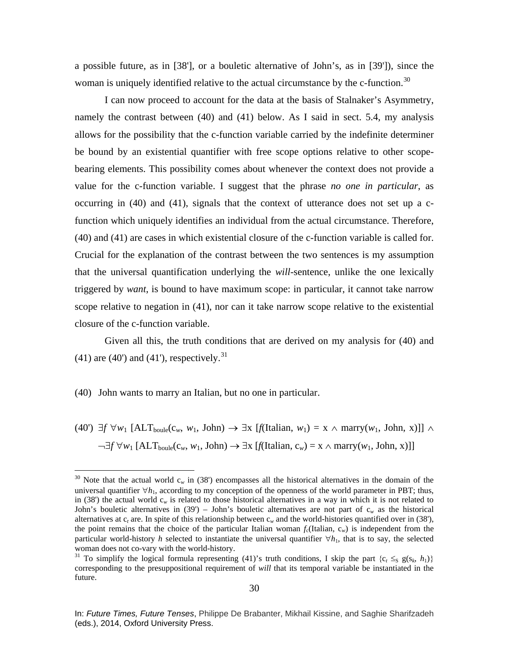a possible future, as in [38'], or a bouletic alternative of John's, as in [39']), since the woman is uniquely identified relative to the actual circumstance by the c-function.<sup>[30](#page-29-0)</sup>

I can now proceed to account for the data at the basis of Stalnaker's Asymmetry, namely the contrast between (40) and (41) below. As I said in sect. 5.4, my analysis allows for the possibility that the c-function variable carried by the indefinite determiner be bound by an existential quantifier with free scope options relative to other scopebearing elements. This possibility comes about whenever the context does not provide a value for the c-function variable. I suggest that the phrase *no one in particular*, as occurring in (40) and (41), signals that the context of utterance does not set up a cfunction which uniquely identifies an individual from the actual circumstance. Therefore, (40) and (41) are cases in which existential closure of the c-function variable is called for. Crucial for the explanation of the contrast between the two sentences is my assumption that the universal quantification underlying the *will-*sentence, unlike the one lexically triggered by *want*, is bound to have maximum scope: in particular, it cannot take narrow scope relative to negation in (41), nor can it take narrow scope relative to the existential closure of the c-function variable.

Given all this, the truth conditions that are derived on my analysis for (40) and  $(41)$  are  $(40')$  and  $(41')$ , respectively.<sup>[31](#page-29-1)</sup>

## (40) John wants to marry an Italian, but no one in particular.

 $(40')$  ∃*f* ∀*w*<sub>1</sub> [ALT<sub>boule</sub>(c<sub>*w*</sub>, *w*<sub>1</sub>, John) → ∃x [*f*(Italian, *w*<sub>1</sub>) = x ∧ marry(*w*<sub>1</sub>, John, x)]] ∧  $\neg \exists f \forall w_1 [\text{ALT}_{\text{boule}}(c_w, w_1, \text{John}) \rightarrow \exists x [\text{f(Italian}, c_w) = x \land \text{marry}(w_1, \text{John}, x)]]$ 

<span id="page-29-0"></span><sup>&</sup>lt;sup>30</sup> Note that the actual world  $c_w$  in (38') encompasses all the historical alternatives in the domain of the universal quantifier  $\forall h_1$ , according to my conception of the openness of the world parameter in PBT; thus, in (38') the actual world  $c_w$  is related to those historical alternatives in a way in which it is not related to John's bouletic alternatives in (39') – John's bouletic alternatives are not part of  $c_w$  as the historical alternatives at  $c_t$  are. In spite of this relationship between  $c_w$  and the world-histories quantified over in (38'), the point remains that the choice of the particular Italian woman  $f_c(Italian, c_w)$  is independent from the particular world-history *h* selected to instantiate the universal quantifier  $\forall h_1$ , that is to say, the selected woman does not co-vary with the world-history.

<span id="page-29-1"></span><sup>&</sup>lt;sup>31</sup> To simplify the logical formula representing (41)'s truth conditions, I skip the part  $\{c_t \leq_S g(s_k, h_1)\}\$ corresponding to the presuppositional requirement of *will* that its temporal variable be instantiated in the future.

In: *Future Times, Future Tenses*, Philippe De Brabanter, Mikhail Kissine, and Saghie Sharifzadeh (eds.), 2014, Oxford University Press.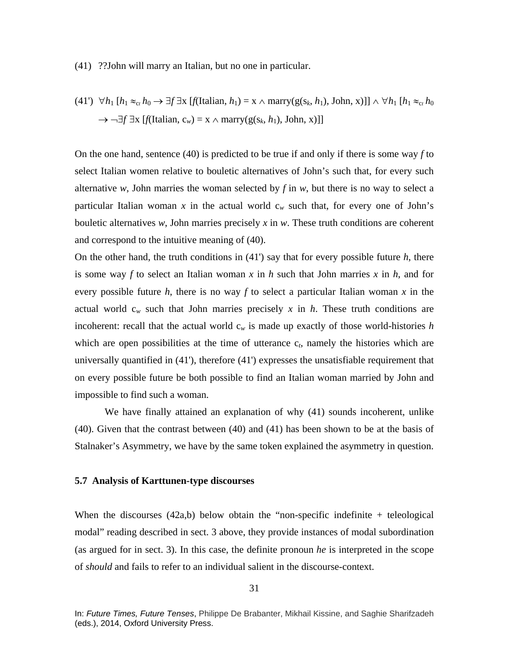#### (41) ??John will marry an Italian, but no one in particular.

(41') 
$$
\forall h_1 [h_1 \approx_{cr} h_0 \rightarrow \exists f \exists x [f(\text{Italian}, h_1) = x \land \text{marry}(g(s_k, h_1), \text{John}, x)]] \land \forall h_1 [h_1 \approx_{cr} h_0 \rightarrow \neg \exists f \exists x [f(\text{Italian}, c_w) = x \land \text{marry}(g(s_k, h_1), \text{John}, x)]]
$$

On the one hand, sentence (40) is predicted to be true if and only if there is some way *f* to select Italian women relative to bouletic alternatives of John's such that, for every such alternative *w*, John marries the woman selected by  $f$  in  $w$ , but there is no way to select a particular Italian woman x in the actual world  $c_w$  such that, for every one of John's bouletic alternatives *w*, John marries precisely *x* in *w*. These truth conditions are coherent and correspond to the intuitive meaning of (40).

On the other hand, the truth conditions in (41') say that for every possible future *h*, there is some way *f* to select an Italian woman *x* in *h* such that John marries *x* in *h*, and for every possible future *h*, there is no way *f* to select a particular Italian woman *x* in the actual world  $c_w$  such that John marries precisely x in h. These truth conditions are incoherent: recall that the actual world  $c_w$  is made up exactly of those world-histories  $h$ which are open possibilities at the time of utterance c<sub>t</sub>, namely the histories which are universally quantified in (41'), therefore (41') expresses the unsatisfiable requirement that on every possible future be both possible to find an Italian woman married by John and impossible to find such a woman.

We have finally attained an explanation of why (41) sounds incoherent, unlike (40). Given that the contrast between (40) and (41) has been shown to be at the basis of Stalnaker's Asymmetry, we have by the same token explained the asymmetry in question.

### **5.7 Analysis of Karttunen-type discourses**

When the discourses  $(42a,b)$  below obtain the "non-specific indefinite  $+$  teleological modal" reading described in sect. 3 above, they provide instances of modal subordination (as argued for in sect. 3). In this case, the definite pronoun *he* is interpreted in the scope of *should* and fails to refer to an individual salient in the discourse-context.

In: *Future Times, Future Tenses*, Philippe De Brabanter, Mikhail Kissine, and Saghie Sharifzadeh (eds.), 2014, Oxford University Press.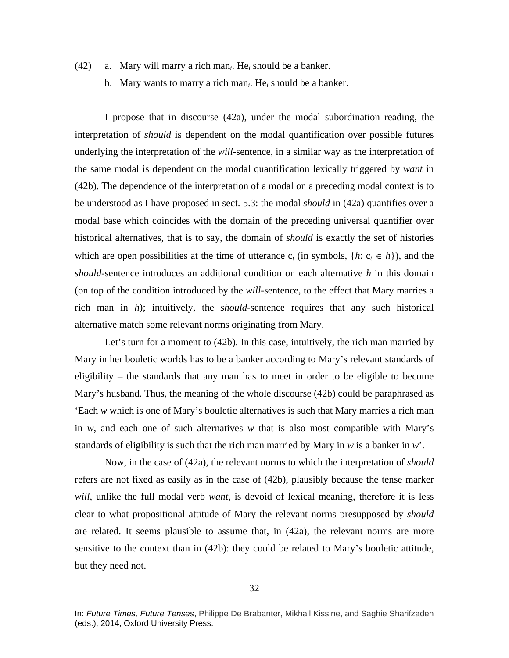- (42) a. Mary will marry a rich man*i*. He*<sup>i</sup>* should be a banker.
	- b. Mary wants to marry a rich man*i*. He*<sup>i</sup>* should be a banker.

I propose that in discourse (42a), under the modal subordination reading, the interpretation of *should* is dependent on the modal quantification over possible futures underlying the interpretation of the *will-*sentence, in a similar way as the interpretation of the same modal is dependent on the modal quantification lexically triggered by *want* in (42b). The dependence of the interpretation of a modal on a preceding modal context is to be understood as I have proposed in sect. 5.3: the modal *should* in (42a) quantifies over a modal base which coincides with the domain of the preceding universal quantifier over historical alternatives, that is to say, the domain of *should* is exactly the set of histories which are open possibilities at the time of utterance  $c_t$  (in symbols,  $\{h: c_t \in h\}$ ), and the *should*-sentence introduces an additional condition on each alternative *h* in this domain (on top of the condition introduced by the *will-*sentence, to the effect that Mary marries a rich man in *h*); intuitively, the *should*-sentence requires that any such historical alternative match some relevant norms originating from Mary.

Let's turn for a moment to (42b). In this case, intuitively, the rich man married by Mary in her bouletic worlds has to be a banker according to Mary's relevant standards of eligibility – the standards that any man has to meet in order to be eligible to become Mary's husband. Thus, the meaning of the whole discourse (42b) could be paraphrased as 'Each *w* which is one of Mary's bouletic alternatives is such that Mary marries a rich man in *w*, and each one of such alternatives *w* that is also most compatible with Mary's standards of eligibility is such that the rich man married by Mary in *w* is a banker in *w*'.

Now, in the case of (42a), the relevant norms to which the interpretation of *should*  refers are not fixed as easily as in the case of (42b), plausibly because the tense marker *will*, unlike the full modal verb *want*, is devoid of lexical meaning, therefore it is less clear to what propositional attitude of Mary the relevant norms presupposed by *should*  are related. It seems plausible to assume that, in (42a), the relevant norms are more sensitive to the context than in (42b): they could be related to Mary's bouletic attitude, but they need not.

In: *Future Times, Future Tenses*, Philippe De Brabanter, Mikhail Kissine, and Saghie Sharifzadeh (eds.), 2014, Oxford University Press.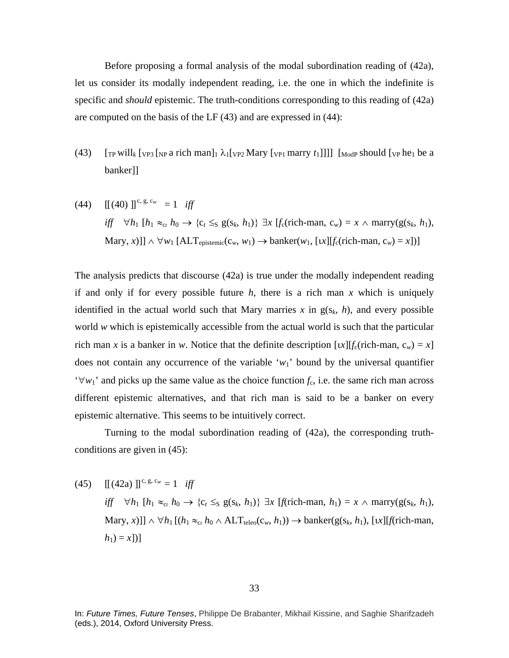Before proposing a formal analysis of the modal subordination reading of (42a), let us consider its modally independent reading, i.e. the one in which the indefinite is specific and *should* epistemic. The truth-conditions corresponding to this reading of (42a) are computed on the basis of the LF (43) and are expressed in (44):

- (43)  $\int_{\text{TP}} \text{will}_k$   $\int_{\text{NP}} \text{a} \text{ rich} \text{man}_1 \lambda_1 \int_{\text{VP2}} \text{Mary} \left[ \text{v}_{\text{PI}} \text{marry } t_1 \right]$ banker]]
- (44)  $[[ (40) ]]^{c, g, c_w} = 1$  *iff iff*  $\forall h_1$  [*h*<sub>1</sub> ≈<sub>ct</sub> *h*<sub>0</sub> → {c<sub>t</sub> ≤<sub>S</sub> g(s<sub>k</sub>, *h*<sub>1</sub>)} ∃*x* [*f*<sub>c</sub>(rich-man, c<sub>*w*</sub>) = *x* ∧ marry(g(s<sub>k</sub>, *h*<sub>1</sub>),  $\text{Mary}, x)$ ]]  $\land \forall w_1 [\text{ALT}_{\text{epistemic}}(c_w, w_1) \rightarrow \text{banker}(w_1, [x][f_c(\text{rich-man}, c_w) = x])]$

The analysis predicts that discourse (42a) is true under the modally independent reading if and only if for every possible future  $h$ , there is a rich man  $x$  which is uniquely identified in the actual world such that Mary marries  $x$  in  $g(s_k, h)$ , and every possible world *w* which is epistemically accessible from the actual world is such that the particular rich man *x* is a banker in *w*. Notice that the definite description  $\left[ \pi \right] [f_c(\text{rich-man}, c_w) = x]$ does not contain any occurrence of the variable ' $w_1$ ' bound by the universal quantifier  $\forall w_1$ ' and picks up the same value as the choice function  $f_c$ , i.e. the same rich man across different epistemic alternatives, and that rich man is said to be a banker on every epistemic alternative. This seems to be intuitively correct.

Turning to the modal subordination reading of (42a), the corresponding truthconditions are given in (45):

(45)  $\left[ \left[ (42a) \right] \right]^{c, g, c_w} = 1$  *iff iff*  $∀h_1$  [ $h_1 ≈_{c_t} h_0 → {c_t ≤_S g(s_k, h_1)} \exists x$  [*f*(rich-man,  $h_1$ ) = *x* ∧ marry(g(s<sub>k</sub>,  $h_1$ ),  $\text{Mary}, x)$ ]]  $\land \forall h_1$  [( $h_1 \approx_{c} h_0 \land \text{ALT}_{teleo}(c_w, h_1)) \rightarrow \text{banker}(g(s_k, h_1), [tx]]$  *f*(rich-man,  $h_1$ ) = *x*])]

In: *Future Times, Future Tenses*, Philippe De Brabanter, Mikhail Kissine, and Saghie Sharifzadeh (eds.), 2014, Oxford University Press.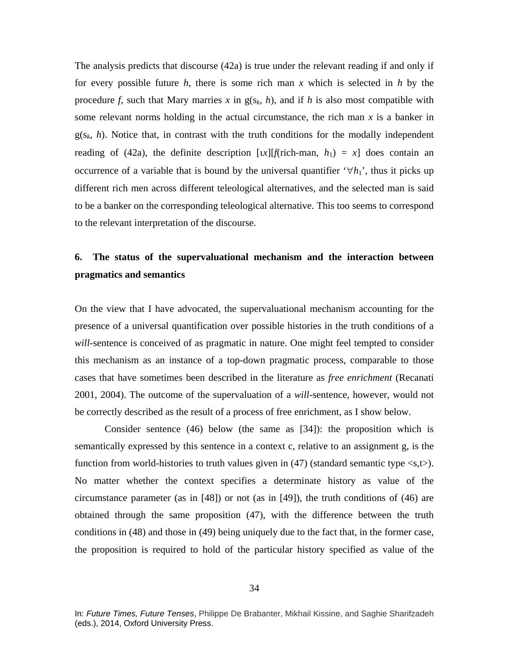The analysis predicts that discourse (42a) is true under the relevant reading if and only if for every possible future *h*, there is some rich man *x* which is selected in *h* by the procedure *f*, such that Mary marries *x* in  $g(s_k, h)$ , and if *h* is also most compatible with some relevant norms holding in the actual circumstance, the rich man *x* is a banker in  $g(s_k, h)$ . Notice that, in contrast with the truth conditions for the modally independent reading of (42a), the definite description  $\lceil x \rceil$  *f*(rich-man, *h*<sub>1</sub>) = *x*] does contain an occurrence of a variable that is bound by the universal quantifier  $\forall h_1$ <sup>'</sup>, thus it picks up different rich men across different teleological alternatives, and the selected man is said to be a banker on the corresponding teleological alternative. This too seems to correspond to the relevant interpretation of the discourse.

# **6. The status of the supervaluational mechanism and the interaction between pragmatics and semantics**

On the view that I have advocated, the supervaluational mechanism accounting for the presence of a universal quantification over possible histories in the truth conditions of a *will*-sentence is conceived of as pragmatic in nature. One might feel tempted to consider this mechanism as an instance of a top-down pragmatic process, comparable to those cases that have sometimes been described in the literature as *free enrichment* (Recanati 2001, 2004). The outcome of the supervaluation of a *will*-sentence, however, would not be correctly described as the result of a process of free enrichment, as I show below.

Consider sentence (46) below (the same as [34]): the proposition which is semantically expressed by this sentence in a context c, relative to an assignment g, is the function from world-histories to truth values given in  $(47)$  (standard semantic type  $\langle s,t \rangle$ ). No matter whether the context specifies a determinate history as value of the circumstance parameter (as in [48]) or not (as in [49]), the truth conditions of (46) are obtained through the same proposition (47), with the difference between the truth conditions in (48) and those in (49) being uniquely due to the fact that, in the former case, the proposition is required to hold of the particular history specified as value of the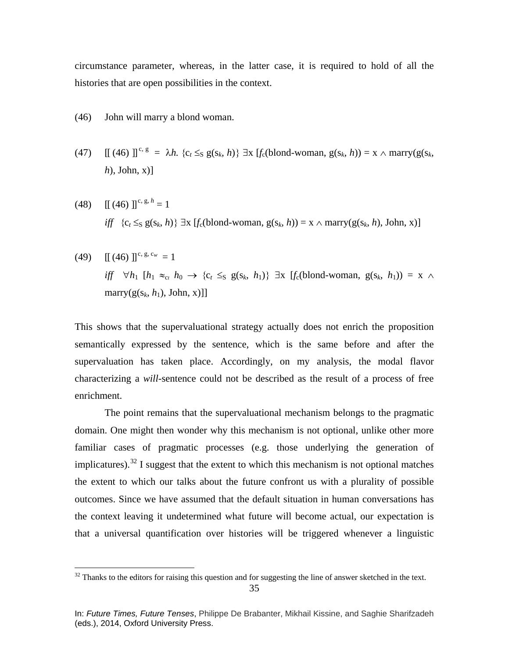circumstance parameter, whereas, in the latter case, it is required to hold of all the histories that are open possibilities in the context.

- (46) John will marry a blond woman.
- (47)  $\left[\right]$  (46)  $\left[\right]$ <sup>c, g</sup> =  $\lambda h$ .  $\{c_t \leq s g(s_k, h)\}$   $\exists x \left[f_c(\text{blond-woman}, g(s_k, h)) = x \land \text{marry}(g(s_k, h))\right]$ *h*), John, x)]
- (48)  $\left[\left(46\right) \right]^{c, g, h} = 1$ *iff*  ${c_t \leq_S g(s_k, h)}$  ∃x  $[f_c(blond-woman, g(s_k, h)) = x \land \text{mary}(g(s_k, h), John, x)]$
- $(49)$  [[(46)]<sup>c, g, c<sub>w</sub> = 1</sup> *iff*  $\forall h_1$  [ $h_1 \approx_{c_t} h_0 \rightarrow \{c_t \leq_S g(s_k, h_1)\}$  ∃x [ $f_c$ (blond-woman,  $g(s_k, h_1)$ ) = x ∧ marry( $g(s_k, h_1)$ , John, x)]]

This shows that the supervaluational strategy actually does not enrich the proposition semantically expressed by the sentence, which is the same before and after the supervaluation has taken place. Accordingly, on my analysis, the modal flavor characterizing a *will*-sentence could not be described as the result of a process of free enrichment.

The point remains that the supervaluational mechanism belongs to the pragmatic domain. One might then wonder why this mechanism is not optional, unlike other more familiar cases of pragmatic processes (e.g. those underlying the generation of implicatures).<sup>[32](#page-34-0)</sup> I suggest that the extent to which this mechanism is not optional matches the extent to which our talks about the future confront us with a plurality of possible outcomes. Since we have assumed that the default situation in human conversations has the context leaving it undetermined what future will become actual, our expectation is that a universal quantification over histories will be triggered whenever a linguistic

<span id="page-34-0"></span><sup>&</sup>lt;sup>32</sup> Thanks to the editors for raising this question and for suggesting the line of answer sketched in the text.

In: *Future Times, Future Tenses*, Philippe De Brabanter, Mikhail Kissine, and Saghie Sharifzadeh (eds.), 2014, Oxford University Press.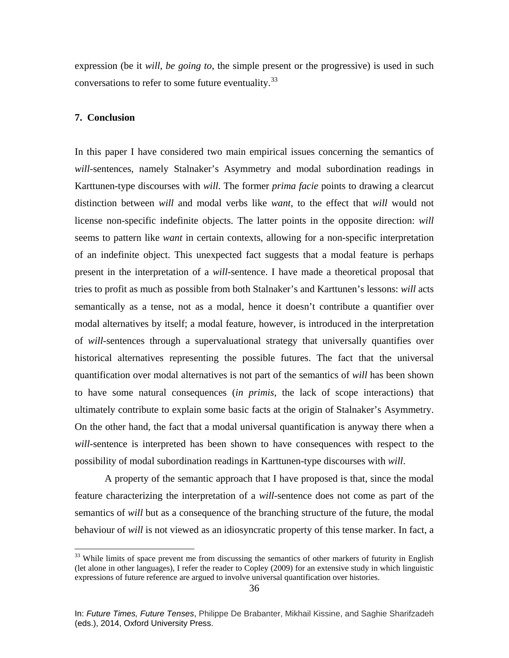expression (be it *will*, *be going to*, the simple present or the progressive) is used in such conversations to refer to some future eventuality.<sup>[33](#page-35-0)</sup>

## **7. Conclusion**

In this paper I have considered two main empirical issues concerning the semantics of *will*-sentences, namely Stalnaker's Asymmetry and modal subordination readings in Karttunen-type discourses with *will*. The former *prima facie* points to drawing a clearcut distinction between *will* and modal verbs like *want*, to the effect that *will* would not license non-specific indefinite objects. The latter points in the opposite direction: *will*  seems to pattern like *want* in certain contexts, allowing for a non-specific interpretation of an indefinite object. This unexpected fact suggests that a modal feature is perhaps present in the interpretation of a *will*-sentence. I have made a theoretical proposal that tries to profit as much as possible from both Stalnaker's and Karttunen's lessons: *will* acts semantically as a tense, not as a modal, hence it doesn't contribute a quantifier over modal alternatives by itself; a modal feature, however, is introduced in the interpretation of *will*-sentences through a supervaluational strategy that universally quantifies over historical alternatives representing the possible futures. The fact that the universal quantification over modal alternatives is not part of the semantics of *will* has been shown to have some natural consequences (*in primis*, the lack of scope interactions) that ultimately contribute to explain some basic facts at the origin of Stalnaker's Asymmetry. On the other hand, the fact that a modal universal quantification is anyway there when a *will-*sentence is interpreted has been shown to have consequences with respect to the possibility of modal subordination readings in Karttunen-type discourses with *will*.

A property of the semantic approach that I have proposed is that, since the modal feature characterizing the interpretation of a *will-*sentence does not come as part of the semantics of *will* but as a consequence of the branching structure of the future, the modal behaviour of *will* is not viewed as an idiosyncratic property of this tense marker. In fact, a

<span id="page-35-0"></span><sup>&</sup>lt;sup>33</sup> While limits of space prevent me from discussing the semantics of other markers of futurity in English (let alone in other languages), I refer the reader to Copley (2009) for an extensive study in which linguistic expressions of future reference are argued to involve universal quantification over histories.

In: *Future Times, Future Tenses*, Philippe De Brabanter, Mikhail Kissine, and Saghie Sharifzadeh (eds.), 2014, Oxford University Press.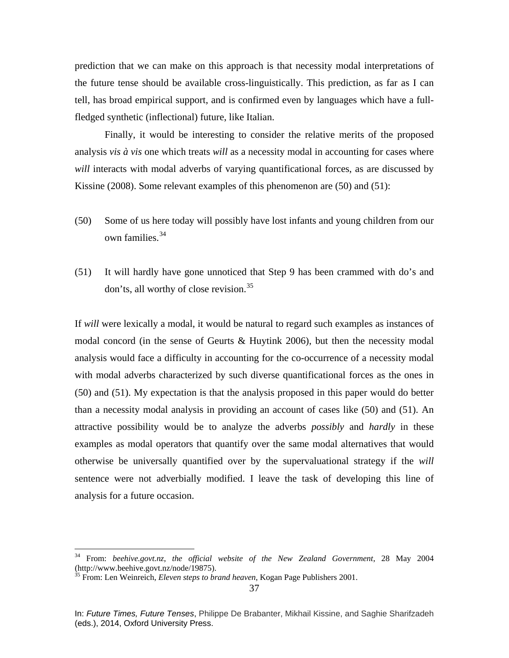prediction that we can make on this approach is that necessity modal interpretations of the future tense should be available cross-linguistically. This prediction, as far as I can tell, has broad empirical support, and is confirmed even by languages which have a fullfledged synthetic (inflectional) future, like Italian.

Finally, it would be interesting to consider the relative merits of the proposed analysis *vis à vis* one which treats *will* as a necessity modal in accounting for cases where *will* interacts with modal adverbs of varying quantificational forces, as are discussed by Kissine (2008). Some relevant examples of this phenomenon are (50) and (51):

- (50) Some of us here today will possibly have lost infants and young children from our own families.<sup>[34](#page-36-0)</sup>
- (51) It will hardly have gone unnoticed that Step 9 has been crammed with do's and don'ts, all worthy of close revision.[35](#page-36-1)

If *will* were lexically a modal, it would be natural to regard such examples as instances of modal concord (in the sense of Geurts & Huytink 2006), but then the necessity modal analysis would face a difficulty in accounting for the co-occurrence of a necessity modal with modal adverbs characterized by such diverse quantificational forces as the ones in (50) and (51). My expectation is that the analysis proposed in this paper would do better than a necessity modal analysis in providing an account of cases like (50) and (51). An attractive possibility would be to analyze the adverbs *possibly* and *hardly* in these examples as modal operators that quantify over the same modal alternatives that would otherwise be universally quantified over by the supervaluational strategy if the *will*  sentence were not adverbially modified. I leave the task of developing this line of analysis for a future occasion.

<span id="page-36-0"></span> <sup>34</sup> From: *beehive.govt.nz*, *the official website of the New Zealand Government*, 28 May 2004 (http://www.beehive.govt.nz/node/19875).

<span id="page-36-1"></span><sup>35</sup> From: Len Weinreich, *Eleven steps to brand heaven*, Kogan Page Publishers 2001.

In: *Future Times, Future Tenses*, Philippe De Brabanter, Mikhail Kissine, and Saghie Sharifzadeh (eds.), 2014, Oxford University Press.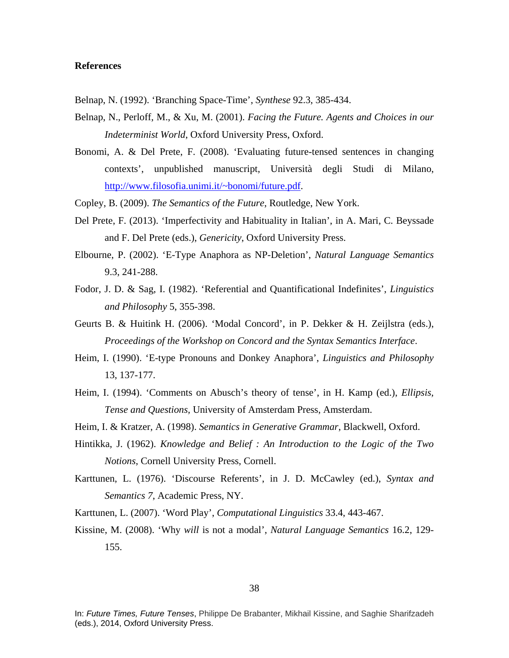## **References**

- Belnap, N. (1992). 'Branching Space-Time', *Synthese* 92.3, 385-434.
- Belnap, N., Perloff, M., & Xu, M. (2001). *Facing the Future. Agents and Choices in our Indeterminist World*, Oxford University Press, Oxford.
- Bonomi, A. & Del Prete, F. (2008). 'Evaluating future-tensed sentences in changing contexts', unpublished manuscript, Università degli Studi di Milano, [http://www.filosofia.unimi.it/~bonomi/future.pdf.](http://www.filosofia.unimi.it/~bonomi/future.pdf)
- Copley, B. (2009). *The Semantics of the Future*, Routledge, New York.
- Del Prete, F. (2013). 'Imperfectivity and Habituality in Italian', in A. Mari, C. Beyssade and F. Del Prete (eds.), *Genericity*, Oxford University Press.
- Elbourne, P. (2002). 'E-Type Anaphora as NP-Deletion', *Natural Language Semantics*  9.3, 241-288.
- Fodor, J. D. & Sag, I. (1982). 'Referential and Quantificational Indefinites', *Linguistics and Philosophy* 5, 355-398.
- Geurts B. & Huitink H. (2006). 'Modal Concord', in P. Dekker & H. Zeijlstra (eds.), *Proceedings of the Workshop on Concord and the Syntax Semantics Interface*.
- Heim, I. (1990). 'E-type Pronouns and Donkey Anaphora', *Linguistics and Philosophy*  13, 137-177.
- Heim, I. (1994). 'Comments on Abusch's theory of tense', in H. Kamp (ed.), *Ellipsis, Tense and Questions,* University of Amsterdam Press, Amsterdam.
- Heim, I. & Kratzer, A. (1998). *Semantics in Generative Grammar*, Blackwell, Oxford.
- Hintikka, J. (1962). *Knowledge and Belief : An Introduction to the Logic of the Two Notions*, Cornell University Press, Cornell.
- Karttunen, L. (1976). 'Discourse Referents', in J. D. McCawley (ed.), *Syntax and Semantics 7*, Academic Press, NY.
- Karttunen, L. (2007). 'Word Play', *Computational Linguistics* 33.4, 443-467.
- Kissine, M. (2008). 'Why *will* is not a modal', *Natural Language Semantics* 16.2, 129- 155.

In: *Future Times, Future Tenses*, Philippe De Brabanter, Mikhail Kissine, and Saghie Sharifzadeh (eds.), 2014, Oxford University Press.